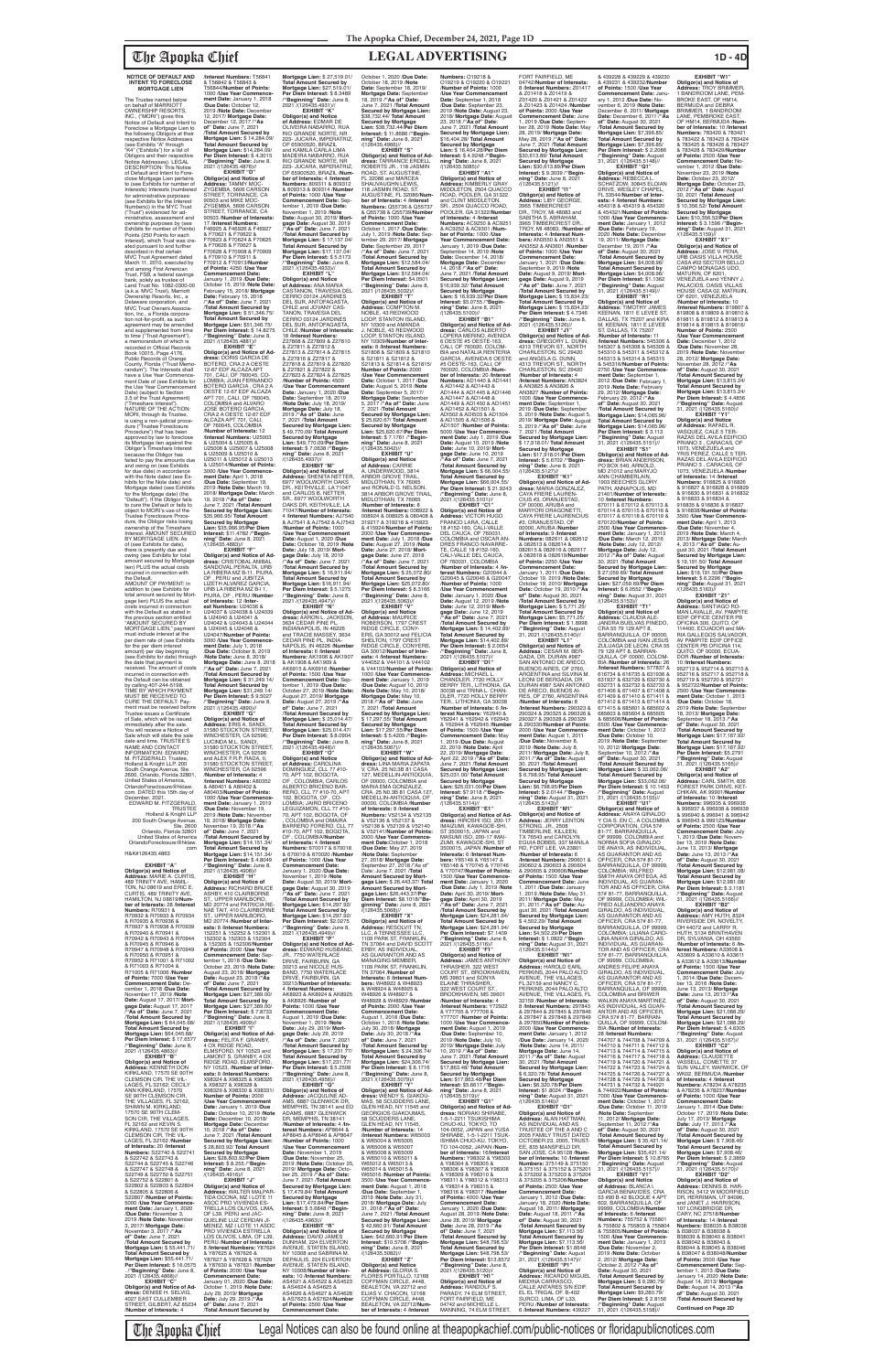The Apopka Chief Legal Notices can also be found online at theapopkachief.com/public-notices or floridapublicnotices.com

The Trustee named below on behalf of MARRIOTT OWNERSHIP RESORTS, INC., ("MORI") gives this Notice of Default and Intent to Foreclose a Mortgage Lien to the following Obligors at their respective Notice Addresses (see Exhibits "A" through "K4" ("Exhibits") for a list of Obligors and their respective Notice Addresses). LEGAL DESCRIPTION: This Notice of Default and Intent to Fore-close Mortgage Lien pertains to (see Exhibits for number of Interests) Interests (numbered for administrative purposes: (see Exhibits for the Interest Numbers)) in the MYC Trust ("Trust") evidenced for ad-ministrative, assessment and ownership purposes by (see Exhibits for number of Points) Points (250 Points for each Interest), which Trust was created pursuant to and further described in that certain MVC Trust Agreement dated March 11, 2010, executed by and among First American Trust, FSB, a federal savings bank, solely as trustee of Land Trust No. 1082-0300-00 (a.k.a. MVC Trust), Marriott Ownership Resorts, Inc., a Delaware corporation, and MVC Trust Owners Association, Inc., a Florida corpora-<br>tion not-for-profit, as such<br>agreement may be amended and supplemented from time to time ("Trust Agreement"), a memorandum of which is recorded in Official Records Book 10015, Page 4176, Public Records of Orange County, Florida ("Trust Memorandum"). The Interests shall have a Use Year Commencement Date of (see Exhibits for the Use Year Commencement Date) (subject to Section 3.5 of the Trust Agreement) ("Timeshare Interest"). NATURE OF THE ACTION: MORI, through its Trustee, is using a non-judicial proce-dure ("Trustee Foreclosure Procedure") that has been approved by law to foreclose its Mortgage lien against the Obligor's Timeshare Interest because the Obligor has failed to pay the amounts due and owing on (see Exhibits for due date) in accordance with the Note dated (see Exhibits for the Note date) and Mortgage dated (see Exhibits for the Mortgage date) (the "Default"). If the Obligor fails to cure the Default or fails to object to MORI's use of the Trustee Foreclosure Proce-dure, the Obligor risks losing ownership of the Timeshare ownership of the Timeshare<br>Interest. AMOUNT SECURED BY MORTGAGE LIEN: As of (see Exhibits for date), there is presently due and owing (see Exhibits for total amount secured by Mortgage lien) PLUS the actual costs incurred in connection with the Default. AMOUNT OF PAYMENT: In addition to (see Exhibits for total amount secured by Mort-gage lien) PLUS the actual costs incurred in connection with the Default as stated in the previous section entitled "AMOUNT SECURED BY MORTGAGE LIEN," payment must include interest at the per diem rate of (see Exhibits for the per diem interest amount) per day beginning (see Exhibits for date) through the date that payment is received. The amount of costs incurred in connection with<br>the Default can be obtained the Default can be obtained by calling 407-244-5198. TIME BY WHICH PAYMENT MUST BE RECEIVED TO CURE THE DEFAULT: Payment must be received before<br>Trustee issues a Certificate of Sale, which will be issued immediately after the sale. You will receive a Notice of Sale which will state the sale date and time. TRUSTEE'S NAME AND CONTACT WINCHESTER, CA 92596; LUCINDA M.L. SANDI,<br>31580 STOCKTON STREET,

#### **NOTICE OF DEFAULT AND INTENT TO FORECLOSE MORTGAGE LIEN**

INFORMATION: EDWARD<br>M. FITZGERALD, Trustee, M. FITZGERALD, Trustee, Holland & Knight LLP, 200

OLIVEIRA NABARRO, RUA RIO GRANDE NORTE, NR 223- JUCARA, IMPERATRIZ )F 65900520, BRAZIL<br>nd KAMILA CARLA LIMA and KAMILA CARLA LIMA<br>MADEIRA NABARRO, RUA<br>RIO GRANDE NORTE, NR<br>223- JUCARA, IMPERATRIZ, OF 65900520, BRAZIL /**Number of Interests:** 4 /**Interest Numbers:** 809311 & 809312 & 809313 & 809314 /**Number of Points:** 1000 /**Use Year Commencement Date:** September 1, 2019 /**Due Date:** November 1, 2019 /**Note Date:** August 30, 2019/ **Mort-gage Date:** August 30, 2019 /**"As of" Date:** June 7, 2021 /**Total Amount Secured by Mortgage Lien:** \$ 17,137.04/ **Total Amount Secured by Mortgage Lien:** \$17,137.04/ **Per Diem Interest:** \$ 5.5173 /**"Beginning" Date:** June 8, 2021 /(126435.4933)// **EXHIBIT "L" Obligor(s) and Notice<br><b>of Address:** ANA MARIA<br>CASTANON, TRAVESIA DEL **ning" Date:** June 8, 2021  $\frac{1}{26435.4966}$ //(126435.4966) **EXHIBIT "S" Obligor(s) and Notice of Ad-dress:** TARRANCE ERDELL ROBERTS JR., 118 JASMIN ROAD, ST. AUGUSTINE, FL 32086 and MARCEA<br>SHAUVAUGHN LEWIS SHAUVAUGHN LEWIS,<br>118 JASMIN ROAD, ST.<br>AUGUSTINE, FL 32086/**Number of Interests:** 4 /**Interest Numbers:** Q55736 & Q55737 & Q55738 & Q55739/**Number of Points:** 1000 /**Use Year Commencement Date:** October 1, 2017 /**Due Date:** July 1, 2019 /**Note Date:** September 29, 2017/ **Mortgage Date:** September 29, 2017 /**"As of" Date:** June 7, 2021 /**Total Amount Secured by Mortgage Lien:** \$12,584.04/ **Total Amount Secured by Mortgage Lien:** \$12,584.04/<br>**Per Diem Interest:** \$4.0501<br>**/"Beginning" Date**: June 8,<br>2021 (/126435.5032)//<br>**EXHIBIT "T"** 

/**Number of Interests:** 4

**Mortgage Lien:** \$ 16,911.94/ **Total Amount Secured by Mortgage Lien:** \$16,911.94/ **Per Diem Interest:** \$ 5.1275 /**"Beginning" Date:** June 8, 2021 /(126435.4947)// **EXHIBIT "N"<br><b>Obligor(s) and Notice of Ad-**<br>**dress:** AARON L. JACKSON,<br>3634 CEDAR PINE PL,<br>INDIANAPOLIS, IN 46226<br>and TRACIE MASSEY, 3634 /**"As of" Date:** June 7, 2021 /**Total Amount Secured by Mortgage Lien:** \$ 25,072.80/ **Total Amount Secured by Mortgage Lien:** \$25,072.80/ **Per Diem Interest:** \$ 8.3166 /**"Beginning" Date:** June 8, 2021 /(126435.5063)// **EXHIBIT "V" Obligor(s) and Notice<br><b>of Address:** MAURICE<br>ROBERSON, 1797 CREST<br>RIDGE CIRCLE, CONY-

CEDAR PINE PL, INDIA-NAPOLIS, IN 46226 /**Number of Interests:** 6 /**Interest Numbers:** AK1906 & AK1907 & AK1908 & AK1909 & AK6915 & AK6916 /**Numbe of Points:** 1500 /**Use Year Commencement Date:** September 1, 2019 /**Due Date:** October 27, 2019 /**Note Date:** August 27, 2019/ **Mortgage Date:** August 27, 2019 /**"As of" Date:** June 7, 2021 /**Total Amount Secured by Mortgage Lien:** \$ 25,014.47/ **Total Amount Secured by Mortgage Lien:** \$25,014.47/ **Per Diem Interest:** \$ 8.0904 /**"Beginning" Date:** June 8, 2021 /(126435.4948)// ERS, GA 30012 and FELICIA SHELTON, 1797 CREST<br>RIDGE CIRCLE, CONYERS, GA 30012/**Number of Inter-ests:** 4 /**Interest Numbers:** V44052 & V44101 & V44102 & V44103/**Number of Points:** 1000 /**Use Year Commencement Date:** January 1, 2019 /**Due Date:** August 10, 2019 /**Note Date:** May 10, 2018/ **Mortgage Date:** May 10, 2018 /**"As of" Date:** June 7, 2021 /**Total Amount Secured by Mortgage Lien:** \$ 17,297.55/ **Total Amount Secured by Mortgage Lien:** \$17,297.55/**Per Diem Interest:** \$ 5.4205 /**"Beginning" Date:** June 8, 2021<br>/(126435.5067)//

/**Interest Numbers:** T56841 & T56842 & T56843 & T56844/**Number of Points:** 1000 /**Use Year Commencement Date:** January 1, 2018 **/Due Date: October 12,<br>2019 /Note Date: December** 2019 /**Note Date:** December 12, 2017/ **Mortgage Date:** December 12, 2017 /**"As of" Date:** June 7, 2021 /**Total Amount Secured by Mortgage Lien:** \$ 14,284.09/ **Total Amount Secured by Mortgage Lien:** \$14,284.09/<br>**Per Diem Interest: \$** 4.3015<br>/**"Beginning" Date:** June 8,<br>2021 /(126435.4876)// **EXHIBIT "D" Obligor(s) and Notice of Address:** TAMMY MOC-ZYGEMBA, 5606 CARSON STREET, TORRANCE, CA 90503 and MIKE MOC-ZYGEMBA, 5606 CARSON STREET, TORRANCE, CA 90503 /**Number of Interests:** 17 /**Interest Numbers:** F46925 & F46926 & F46927 & F70621 & F70622 & F70623 & F70624 & F70625 & F70626 & F70627 & F70628 & F70908 & F70909 & F70910 & F70911 & F70912 & F70913/**Number of Points:** 4250 /**Use Year Commencement Date:** January 1, 2019 /**Due Date:** October 15, 2019 /**Note Date:** February 15, 2018/ **Mortgage Date:** February 15, 2018 /**"As of" Date:** June 7, 2021 /**Total Amount Secured by Mortgage Lien:** \$ 51,346.75/ **Total Amount Secured by Mortgage Lien:** \$51,346.75/ **Per Diem Interest:** \$ 14.8275 /**"Beginning" Date:** June 8, 2021 /(126435.4881)//<br>**FXHIBIT** "F" **EXHIBIT "E"<br>
<b>Obligor(s) and Notice of Ad-**<br> **dress:** DORIS GARCIA DE<br>
BOTERO, CRA 2 A OESTE<br>
12-67 EDF ALCAZA APT 701, CALI, OF 760045, CO-LOMBIA; JUAN FERNANDO BOTERO GARCIA , CRA 2 OESTE 12-67 EDF ALCAZA APT 701, CALI, OF 760045, COLOMBIA and ALVARO JOSE BOTERO GARCIA, CRA 2 A OESTE 12-67 EDF ALCAZA APT 701, CALI, OF 760045, COLOMBIA /**Number of Interests:** 12 /**Interest Numbers:** U25003 & U25004 & U25005 & U25006 & U25007 & U25008 & U25009 & U25010 & U25011 & U25012 & U25013 & U25014/**Number of Points:** 3000 /**Use Year Commencement Date:** April 1, 2018 /**Due Date:** September 19, 2019 /**Note Date:** March 19, 2018/ **Mortgage Date:** March 19, 2018 /**"As of" Date:** June 7, 2021 /**Total Amount Secured by Mortgage Lien:** \$35,966.95/ **Total Amount Secured by Mortgage Lien:** \$35,966.95/**Per Diem Interest:** \$11.4782 /**"Beginning" Date:** June 8, 2021 /(126435.4883)// **EXHIBIT "F" Obligor(s) and Notice of Ad-dress:** CRISTOBAL ANIBAL SANDOVAL PERALTA, URB LA RIBERA MZ B-11, PIURA, OF , PERU and JUBITZA LIZETH ALVAREZ GARCIA, URB LA RIBERA MZ B-l 1, PIURA, OF , PERU /**Number of Interests:** 12 /**Interest Numbers:** U24036 & U24037 & U24038 & U24039 & U24040 & U24041 & U24042 & U24043 & U24044 & U24045 & U24046 & U24047/**Number of Points:** 3000 /**Use Year Commence-ment Date:** July 1, 2018 /**Due Date:** October 8, 2019 /**Note Date:** June 8, 2018/ **Mortgage Date:** June 8, 2018 /**"As of" Date:** June 7, 2021 /**Total Amount Secured by Mortgage Lien:** \$ 31,249.14/ **Total Amount Secured by Mortgage Lien:** \$31,249.14/ **Per Diem Interest:** \$ 9.5027 /**"Beginning" Date:** June 8, 2021 /(126435.4890)// **EXHIBIT "G" Obligor(s) and Notice of Address:** ERIS A. SANDI, 31580 STOCKTON STREET,

South Orange Avenue, Ste. 2600, Orlando, Florida 32801, United States of America, OrlandoForeclosure@hklaw. com. DATED this 15th day of December, 2021. EDWARD M. FITZGERALD, TRUSTEE Holland & Knight LLP 200 South Orange Avenue, Ste. 2600 Orlando, Florida 32801 United States of America OrlandoForeclosure@hklaw. com H&K#126435.4863 **EXHIBIT "A" Obligor(s) and Notice of Address:** MARIE A. CURTIS, 489 TRINITY AVE, HAMIL-TON, NJ 08619 and ERIC E. CURTIS, 489 TRINITY AVE, HAMILTON, NJ 08619/**Number of Interests:** 28 /**Interest Numbers:** R70931 & R70932 & R70933 & R70934 & R70935 & R70936 & R70937 & R70938 & R70939 & R70940 & R70941 & R70942 & R70943 & R70944 & R70945 & R70946 & R70947 & R70948 & R70949 & R70950 & R70951 & R70952 & R71001 & R71002 & R71003 & R71004 & R71005 & R71006 /**Number of Points:** 7000 /**Use Year Commencement Date:** December 1, 2018 /**Due Date:** November 17, 2019 /**Note Date:** August 17, 2017/ **Mortgage Date:** August 17, 2017 /**"As of" Date:** June 7, 2021 /**Total Amount Secured by Mortgage Lien:** \$ 64,045.68/ **Total Amount Secured by Mortgage Lien:** \$64,045.68/ **Per Diem Interest:** \$ 17.6577 /**"Beginning" Date:** June 8, //(126435.4863)/<br>"EXHIBIT "B **EXHIBIT "B" Obligor(s) and Notice of Address:** KENNETH DON KIRKLAND, 17570 SE 90TH CLEMSON CIR, THE VIL-LAGES, FL 32162; CECILY ANN KIRKLAND, 17570 SE 90TH CLEMSON CIR, THE VILLAGES, FL 32162, SHAWN M. KIRKLAND, 17570 SE 90TH CLEM-SON CIR, THE VILLAGES, FL 32162 and KEVIN S. KIRKLAND, 17570 SE 90TH CLEMSON CIR, THE VIL-LAGES, FL 32162 /**Number of Interests:** 20 /**Interest Numbers:** S22740 & S22741 & S22742 & S22743 & S22744 & S22745 & S22746 & S22747 & S22748 & S22749 & S22750 & S22751 & S22752 & S22801 & S22802 & S22803 & S22804 & S22805 & S22806 &<br>S22807 /Number of Points S22807 /**Number of Points:** 5000 /**Use Year Commencement Date:** January 1, 2020 /**Due Date:** November 3, 2019 /**Note Date:** November 3, 2017/ **Mortgage Date:** November 3, 2017 /**"As of" Date:** June 7, 2021 /**Total Amount Secured by Mortgage Lien:** \$ 55,441.71/ **Total Amount Secured by Mortgage Lien:** \$55,441.71/ **Per Diem Interest:** \$ 16.0575 . /**"Beginning" Date:** June 8, 2021 /(126435 **EXHIBIT "C" Obligor(s) and Notice of Address:** DENISE H. SELVIG, 4027 EAST CULLEMBER STREET, GILBERT, AZ 85234 & X98327 & X98328 & **Secured by Mortgage**  /(126435.4916)// & Y87625 & Y87626 &

CERRO 03124 JARDINES<br>DEL SUR, ANTOFAGASTA, CHILE and JOVANY CAS-TANON, TRAVESIA DEL CERRO 03124 JARDINES DEL SUR, ANTOFAGASTA CHILE /**Number of Interests:** 18 /**Interest Numbers:** Z27808 & Z27809 & Z27810 & Z27811 & Z27812 & Z27813 & Z27814 & Z27815 & Z27816 & Z27817 & Z27818 & Z27819 & Z27820 & Z27821 & Z27822 & Z27823 & Z27824 & Z27825 /**Number of Points:** 4500 /**Use Year Commencement Date:** January 1, 2020 /**Due Date:** September 18, 2019 /**Note Date:** July 18, 2019/ **Mortgage Date:** July 18, 2019 /**"As of" Date:** June 7, 2021 /**Total Amount Secured by Mortgage Lien:** \$ 49,770.09/ **Total Amount Secured by Mortgage Lien:** \$49,770.09/**Per Diem Interest:** \$ 7.0638 /**"Begin-**<br>**ning" Date:** June 8, 2021<br>/(126435.4937)// **EXHIBIT "M" Obligor(s) and Notice of Address:** SHENITA NETTER, 6977 WOOLWORTH OAKS DR., KEITHVILLE, LA 71047 and CARLOS B. NETTER, SR., 6977 WOOLWORTH<br>OAKS DR, KEITHVILLE, LA 71047/**Number of Interests:** 4 /**Interest Numbers:** AJ7540 & AJ7541 & AJ7542 & AJ7543 /**Number of Points:** 1000 /**Use Year Commencement Date:** August 1, 2020 /**Due Date:** October 18, 2019 /**Note Date:** July 18, 2019/ **Mort-gage Date:** July 18, 2019 /**"As of" Date:** June 7, 2021 /**Total Amount Secured by Obligor(s) and Notice of Address:** COMPTON M. NOBLE, 43 REDWOOD LOOP, STANTON ISLAND, NY 10309 and AMANDA J. NOBLE, 43 REDWOOD LOOP, STANTON ISLAND, NY 10309/**Number of Inter-ests:** 8 /**Interest Numbers:** S21808 & S21809 & S21810 & S21811 & S21812 & S21813 & S21814 & S21815/ **Number of Points:** 2000 /**Use Year Commencement Date:** October 1, 2017 /**Due Date:** August 5, 2019 /**Note Date:** September 5, 2017/ **Mortgage Date:** September 5, 2017 /**"As of" Date:** June 7, 2021 /**Total Amount Secured by Mortgage Lien:** \$ 25,620.67/ **Total Amount Secured by Mortgage Lien:** \$25,620.67/**Per Diem Interest:** \$ 7.1761 /**"Beginning" Date:** June 8, 2021<br>/(126435.5042)// **EXHIBIT "U" Obligor(s) and Notice of Address:** CARRIE<br>A. UNDERWOOD, 3814 ARBOR GROVE TRAIL, MIDLOTHIAN, TX 76065 and RONALD G. NELSON, 3814 ARBOR GROVE TRAIL, MIDLOTHIAN, TX 76065 /**Number of Interests:** 8 /**Interest Numbers:** 008922 & 008924 & 008925 & 080408 & 319217 & 319218 & 415923 & 415924/**Number of Points:** 2000 /**Use Year Commencement Date:** July 1, 2018 /**Due Date:** August 27, 2019 /**Note Date:** June 27, 2018/ **Mort-gage Date:** June 27, 2018

**dress:** CARLOS ALBERTO<br>LOPERA MERINO, AVENIDA 6 OESTE #5 OESTE-163, CALI, OF 760020, COLOM-BIA and NATALIA RENTERIA GARCIA , AVENIDA 6 OESTE #5 OESTE-163, CALI, OF 760020, COLOMBIA /**Number of Interests:** 20 /**Interest Numbers:** AD1440 & AD1441 & AD1442 & AD1443 & AD1444 & AD1445 & AD1446 & AD1447 & AD1448 & AD1449 & AD1450 & AD1451 & AD1452 & AD1501 & ADI502 & ADI503 & AD1504 & AD1505 & AD1506 & AD1507 /**Number of Points:** 5000 /**Use Year Commence-ment Date:** July 1, 2019 /**Due Date:** August 10, 2019 /**Note Date:** June 10, 2019/ **Mort-gage Date:** June 10, 2019 /**"As of" Date:** June 7, 2021 /**Total Amount Secured by Mortgage Lien:** \$ 66,004.55/ **Total Amount Secured by Mortgage Lien:** \$66,004.55/ **Per Diem Interest:** \$ 21.9243 /**"Beginning" Date:** June 8, 2021 /(126435.5101)// **EXHIBIT "C1" Obligor(s) and Notice of Address:** VICTOR HUGO FRANCO LARA, CALLE 18 #152-160, CALI-VALLE DEL CAUCA, OF 760031, COLOMBIA and OSCAR AN-DRES FRANCO NAVARRE-<br>TE. CALLE 18 #152-160. TE, CALLE 18 #152-160,<br>CALI-VALLE DEL CAUCA,<br>OF 760031, COLOMBIA<br>/**Number of Interests:** 4 /**Interest Numbers:** G20044 & G20045 & G20046 & G20047 /**Number of Points:** 1000 /**Use Year Commencement Date:** January 1, 2020 /**Due Date:** August 12, 2019 /**Note Date:** June 12, 2019/ **Mortgage Date:** June 12, 2019 /**"As of" Date:** June 7, 2021

WINCHESTER, CA 92596 and ALEX F.R.P. RADA, II, 31580 STOCKTON STREET, WINCHESTER, CA 92596 /**Number of Interests:** 4 /**Interest Numbers:** A80352 & A80401 & A80402 & A80403/**Number of Points:** 1000 /**Use Year Commencement Date:** January 1, 2019 /**Due Date:** November 19, 2019 /**Note Date:** November 19, 2018/ **Mortgage Date:** November 19, 2018 /**"As of" Date:** June 7, 2021 /**Total Amount Secured by Mortgage Lien:** \$14,151.34/ **Total Amount Secured by Mortgage Lien:** \$14,151.34/<br>**Per Diem Interest:** \$ 4.8049<br>/**"Beginning" Date:** June 8,<br>2021 /(126435.4908)// **EXHIBIT "H"<br><b>Address:** RICHARD BRUCE<br>**Address:** RICHARD BRUCE<br>ASHBY, 410 CLAIRBORNE<br>ST., UPPER MARLBORO,<br>MD 20774 and PATRICIA RE-NAE TAIT, 410 CLAIRBORNE ST., UPPER MARLBORO, MD 20774 /**Number of Inter-ests:** 8 /**Interest Numbers:** 152251 & 152252 & 152301 & 152302 & 152303 & 152304 & 152305 & 152306/**Number**  of Points: 2000 /Use Year<br>Commencement Date: Sep-<br>tember 1, 2018 /Due Date:<br>October 23, 2019 /Note Date:<br>August 23, 2018 /Mortgage<br>Date: August 23, 2018 /"As<br>of" Date: June 7, 2021 /**Total Amount Secured by Mortgage Lien:** \$27,389.00/ **Total Amount Secured by Mortgage Lien:** \$27,389.00/ **Per Diem Interest:** \$ 7.8733 /**"Beginning" Date:** June 8, 2021 /(126435.4909)// **EXHIBIT "I" Obligor(s) and Notice of Ad-dress:** FELITA F. GRANBY, 4 OX RIDGE ROAD, ELMSFORD, NY 10523 and LAMONT S. GRANBY, 4 OX RIDGE ROAD, ELMSFORD, NY 10523, /**Number of Interests:** 8 /**Interest Numbers:** X98324 & X98325 & X98326 X98329 & X98330 & X98331/ **Number of Points:** 2000 /**Use Year Commencement Date:** January 1, 2019 /**Due Date:** October 10, 2019 /**Note Date:** December 10, 2018/ **Mortgage Date:** December 10, 2018 /**"As of" Date:** June 7, 2021 /**Total Amount Secured by Mortgage Lien:** \$ 28,803.92/ **Total Amount Lien:** \$28,803.92/**Per Diem Interest:** \$ 8.255 /**"Begin-ning" Date:** June 8, 2021 **EXHIBIT "J" Obligor(s) and Notice of Address:** WALTER MALPAR-TIDA OCONA, MZ I LOTE 11 ASOC PRO VIVIENDA ES-TRELLA LOS OLIVOS, LIMA, OF L39, PERU and JAC-QUELINE LUZ CERDAN JI-MENEZ, MZ I LOTE 11 ASOC PRO VIVIENDA ESTRELLA LOS OLIVOS, LIMA, OF L39, PERU /**Number of Interests:** 8 /**Interest Numbers:** Y87624 Y87627 & Y87628 & Y87629 & Y87630 & Y87631 /**Number of Points:** 2000 /**Use Year Commencement Date:** January 01, 2020 /**Due Date:** October 1, 2019 /**Note Date:** July 29, 2019/ **Mortgage Date:** July 29, 2019 /**"As of" Date:** June 7, 2021 /**Total Amount Secured by**  DOMINGUEZ, CLL 77 #10- 70, APT 102, BOGOTA, OF , COLOMBIA, CARLOS<br>ALBERTO BRICENO BAR-<br>RERO, CLL 77 #10-70, APT<br>102, BOGOTA, OF , CO-LOMBIA; JAIRO BRICENO LEGUIZAMON, CLL 77 #10- 70, APT 102, BOGOTA, OF , COLOMBIA and OMAIRA BARRERO FORERO, CLL 77 #10-70, APT 102, BOGOTA, OF , COLOMBIA/**Number of Interests:** 4 /**Interest Numbers:** 670017 & 670018 & 670019 & 670020 /**Number of Points:** 1000 /**Use Year Commencement Date:** January 1, 2020 /**Due Date:** November 1, 2019 /**Note Date:** August 30, 2019/ **Mortgage Date:** August 30, 2019 /**"As of" Date:** June 7, 2021 /**Total Amount Secured by Mortgage Lien:** \$14,297.92/ **Total Amount Secured by Mortgage Lien:** \$14,297.92/ **Per Diem Interest:** \$2.0275 /**"Beginning" Date:** June 8, 2021 /(126435.4949)// **EXHIBIT "P" Obligor(s) and Notice of Ad-dress:** EDWARD HUSBAND, JR., 7750 WATERLACE<br>DRIVE, FAIRBURN, GA<br>30213 and NICOLE HUS-BAND, 7750 WATERLACE DRIVE, FAIRBURN, GA 30213/**Number of Interests:** 4 /**Interest Numbers:** AK8923 & AK8924 & AK8925 & AK8926 /**Number of Points:** 1000 /**Use Year Commencement Date:** August 1, 2019 /**Due Date:** November 1, 2019 /**Note Date:** July 29, 2019/ **Mort-gage Date:** July 29, 2019 /**"As of" Date:** June 7, 2021 /**Total Amount Secured by Mortgage Lien:** \$ 17,231.77/ **Total Amount Secured by Mortgage Lien:** \$17,231.77/ **Per Diem Interest:** \$ 5.2508 /**"Beginning" Date:** June 8, 2021 /(126435.4956)// **EXHIBIT "Q Obligor(s) and Notice of Address:** JACQULINE AD-AMS, 6887 GLENWICK DR, MEMPHIS, TN 38141 and ED ADAMS, 6887 GLENWICK DR, MEMPHIS, TN 38141 /**Number of Interests:** 4 /**In-terest Numbers:** AP8644 & AP8645 & AP8646 & AP8647 /**Number of Points:** 1000 /**Use Year Commencement Date:** November 1, 2019 /**Due Date:** November 25, 2019 /**Note Date:** October 25, 2019/ **Mortgage Date:** Octo-ber 25, 2019 /**"As of" Date:** June 7, 2021 /Total Amount **Secured by Mortgage Lien:** \$ 17,479.84/ **Total Amount Secured by Mortgage Lien:** \$17,479.84/**Per Diem Interest:** \$ 5.6848 /**"Begin-ning" Date:** June 8, 2021 /(126435.4963)// **EXHIBIT "R" Obligor(s) and Notice of Address:** DAVID JAMES DUNHAM, 224 ELVERTON AVENUE, STATEN ISLAND, NY 10308 and SABRINA M. DEPAULIS, 224 ELVERTON AVENUE, STATEN ISLAND, NY 10308/**Number of Interests:** 10 /**Interest Numbers:** AS4521 & AS4522 & AS4523 & AS4624 & AS4625 & AS4626 & AS4627 & AS4628 & AS7623 & AS7624/**Number of Points:** 2500 /**Use Year** 

#### **Mortgage Lien:** \$ 27,519.01/ **Total Amount Secured by Mortgage Lien:** \$27,519.01/ **Per Diem Interest:** \$ 8.3489 /**"Beginning" Date:** June 8, 2021 /(126435.4931)// **EXHIBIT "K" Obligor(s) and Notice of Address:** EDMAR DE October 1, 2020 /**Due Date:** October 18, 2019 /**Note Date:** September 18, 2019/ **Mortgage Date:** September 18, 2019 /**"As of" Date:** June 7, 2021 /**Total Amount Secured by Mortgage Lien:** \$38,732.44/ **Total Amount**

**Mortgage Lien: \$**5,771.25/<br>**Per Diem Interest: \$ 1.8998<br>/<b>"Beginning" Date:** August<br>31, 2021 /(126435.5140)// **EXHIBIT "L1"<br><b>Obligor(s) and Notice of**<br>**Address:** CESAR M. BER-<br>GADA, DR. DURAN #987<br>SAN ANTONIO DE ARECO,<br>BUENOS AIRES, OF 2760, ARGENTINA and SILVINA M. LEONI DE BERGADA, DR.<br>DURAN #987 SAN ANTONIO<br>DE ARECO, BUENOS AI-<br>RES, OF 2760, ARGENTINA /**Number of Interests:** 8

& 439228 & 439229 & 439230<br>& 439231 & 439232/Nu<mark>mber</mark> & 439231 & 439232/**Number of Points:** 1500 /**Use Year Commencement Date:** Janu-ary 1, 2012 /**Due Date:** November 6, 2019 /**Note Date:** December 6, 2011/ **Mortgage Date:** December 6, 2011 /**"As of" Date:** August 30, 2021 /**Total Amount Secured by Mortgage Lien:** \$7,396.85/ **Total Amount Secured by Mortgage Lien:** \$7,396.85/ **Per Diem Interest:** \$ 2.2086 /**"Beginning" Date:** August 31, 2021 /(126435.5148)// **EXHIBIT "Q1" Obligor(s) and Notice of Address:** REBECCA L. SCHATZOW, 30845 ELOIAN DRIVE, WESLEY CHAPEL, FL 33544/**Number of Interests:** 4 /**Interest Numbers:** 454318 & 454319 & 454320 & 454321/**Number of Points:** 1000 /**Use Year Commence-ment Date:** January 1, 2012 /**Due Date:** February 19, 2020 /**Note Date:** December 19, 2011/ **Mortgage Date:** December 19, 2011 /**"As of" Date:** August 30, 2021 /**Total Amount Secured by Mortgage Lien:** \$4,008.96/ **Total Amount Secured by Mortgage Lien:** \$4,008.96/<br>**Per Diem Interest:** \$1.1362<br>"**Beginning" Date:** August<br>31, 2021 /(126435.5149)//<br>**EXHIBIT "R1" Obligor(s) and Notice of Address:** TIMOTHY JAMES KEENAN, 1811 E LEVEE ST, DALLAS, TX 75207 and KIRA M. KEENAN, 1811 E LEVEE ST, DALLAS, TX 75207 /**Number of Interests:** 11 /**Interest Numbers:** 545306 & 545307 & 545308 & 545309 & 545310 & 545311 & 545312 & 545313 & 545314 & 545315 & 545316/**Number of Points:** 2750 /**Use Year Commencement Date:** September 1, 2012 /**Due Date:** February 1, 2019 /**Note Date:** February 29, 2012/ **Mortgage Date:** February 29, 2012 /**"As of" Date:** August 30, 2021 /**Total Amount Secured by Mortgage Lien:** \$14,065.96/ **Total Amount Secured by** 

**EXHIBIT "O" Obligor(s) and Notice of Address:** CAROLINA **Commencement Date: EXHIBIT "W" Obligor(s) and Notice of Ad-dress:** LINA MARIA ZAPATA V, CRA. 25 N0.3B 81 CASA 127, MEDELLIN-ANTIOQUIA, OF 00000, COLOMBIA and MARIA EMA GONZALEZ,<br>CRA. 25 N0.3B 81 CASA 127,<br>MEDELLIN-ANTIOQUIA, OF<br>00000, COLOMBIA /**Number of Interests:** 8 /**Interest Numbers:** V52134 & V52135 & V52136 & V52137 & V52138 & V52139 & V52140 & V52141/**Number of Points:** 2000 /**Use Year Commencement Date:**October 1, 2018 /**Due Date:** May 27, 2019 /**Note Date:** September 27, 2018/ **Mortgage Date:** September 27, 2018 /"As of" Date: June 7, 2021 /**Total Amount Secured by Mort-gage Lien:** \$ 26,443.37/ **Total Amount Secured by Mort-gage Lien:** \$26,443.37/**Per Diem Interest:** \$8.1018/**"Beginning" Date:** June 8, 2021<br>/(126435.5068)// **EXHIBIT "X" Obligor(s) and Notice of Address:** RESOLVIT TN, LLC, A TENNESSEE LLC, 1109 PARK ST, FRANKLIN, TN 37064 and DAVID SCOTT ERBY, AS INDIVIDUAL, AS GUARANTOR AND AS MANAGING MEMBER,<br>1109 PARK ST, FRANKLIN,<br>TN 37064 /**Number of Interests:** 8 /**Interest Num-bers:** W48922 & W48923 & W48924 & W48925 & W48926 & W48927 & W48928 & W48929 /**Number of Points:** 2000 /**Use Year Commencement Date:** August 1, 2018 /**Due Date:** October 1, 2018 /**Note Date:** July 30, 2018/ **Mortgage Date:** July 30, 2018 /**"As of" Date:** June 7, 2021 /**Total Amount Secured by Mortgage Lien:** \$ 24,306.74/ **Total Amount Secured by Mortgage Lien:** \$24,306.74/ **Per Diem Interest:** \$ 8.1716 /**"Beginning" Date:** June 8, 2021 /(126435.5079)// **EXHIBIT "Y" Obligor(s) and Notice of Ad-dress:** WENDY S. GIAKOU-MAS, 58 SCUDDERS LANE, GLEN HEAD, NY 11545 and GEORGIOS GIAKOUMAS, 58 SCUDDERS LANE, GLEN HEAD, NY 11545, /**Number of Interests:** 14 /**Interest Numbers:** W65003 & W65004 & W65005 & W65006 & W65007 & W65008 & W65009 & W65010 & W65011 & W65012 & W65013 & W65014 & W65015 & W65016 /**Number of Points:** 3500 /**Use Year Commencement Date:** August 1, 2018 /**Due Date:** September 1, 2019 /**Note Date:** July 31, 2018/ **Mortgage Date:** July 31, 2018 /**"As of" Date:** June 7, 2021 /**Total Amount Secured by Mortgage Lien:** \$ 42,660.91/ **Total Amount Secured by Mortgage Lien:** \$42,660.91/**Per Diem Interest:** \$10.5708 /**"Beginning" Date:** June 8, 2021 /(126435.5082)//<br>**FXHIBIT** "7" **EXHIBIT "Z" Obligor(s) and Notice of Address:** GLORIA S. FLORES PORTILLO, 12168 COFFMAN CIRCLE, #448, BEALETON, VA 22712 and ELIAS V. CHACON, 12168 COFFMAN CIRCLE, #448, BEALETON, VA 22712/**Nur ber of Interests:** 4 /**Interest** 

**EXHIBIT "T1"<br>
<b>Obligor(s) and Notice of**<br> **Address**: CLAUDIA ALE-<br>
JANDRA BUELVAS PINEDO,<br>
CRA 55 79 129 APT 8,<br>
BARRANQUILLA, OF 00000, COLOMBIA and IVAN JESUS ZULUAGA DE LEON, CRA 55 79 129 APT 8, BARRAN-QUILLA, OF 00000, COLOM-BIA /**Number of Interests:** 26 /**Interest Numbers:** 577837 & 616734 & 616735 & 631936 & 631937 & 632729 & 632730 & 632731 & 632732 & 632733 & 671406 & 671407 & 671408 & 671409 & 671410 & 671411 & 671412 & 671413 & 671414 & 671415 & 685601 & 685602 & 685603 & 685604 & 685605 & 685606/**Number of Points:** 6500 /**Use Year Commence-ment Date:** October 1, 2012 /**Due Date:** October 10, 2019 /**Note Date:** Septembe 10, 2012/ **Mortgage Date:** September 10, 2012 /**"As of" Date:** August 30, 2021 /**Total Amount Secured by Mortgage Lien:** \$ 33,062.06/ **Total Amount Secured by Mortgage Lien:** \$33,062.06/ **Per Diem Interest:** \$ 10.1453 /**"Beginning" Date:** August 31, 2021 /(126435.5155)// **EXHIBIT "U1" Obligor(s) and Notice of Address:** ANAYA GIRALDO Y CIA S. EN C., A COLOMBIA<br>CORPORATION, CRA 57#<br>81-77, BARRANQUILLA,<br>OF 99999, COLOMBIA and NORMA SOFIA GIRALDO DE ANAYA, AS INDIVIDUAL AS GUARANTOR AND AS OFFICER, CRA 57# 81-77, BARRANQUILLA, OF 99999, COLOMBIA; WILFRED SMITH ANAYA ORTEGA, AS INDIVIDUAL, AS GUARAN-TOR AND AS OFFICER, CRA 57# 81-77, BARRANQUILLA, OF 99999, COLOMBIA; WIL-FRED ALEJANDRO ANAYA GIRALDO, AS INDIVIDUAL,<br>AS GUARANTOR AND AS OFFICER, CRA 57# 81-77,<br>BARRANQUILLA, OF 99999,<br>COLOMBIA; LILIANA CARO-<br>LINA ANAYA GIRALDO, AS INDIVIDUAL, AS GUARAN-TOR AND AS OFFICER, CRA 57# 81-77, BARRANQUILLA,<br>OF 99999, COLOMBIA;<br>ANDRES FELIPE ANAYA<br>GIRALDO, AS INDIVIDUAL, AS GUARANTOR AND AS OFFICER, CRA 57# 81-77, BARRANOUILLA, OF 99999 COLOMBIA and BRIWER WALKIN ANAYA MARTINEZ, AS INDIVIDUAL, AS GUAR-ANTOR AND AS OFFICER, CRA 57# 81-77, BARRAN-QUILLA, OF 99999, COLOM-BIA /**Number of Interests:** 28 /**Interest Numbers:** 744707 & 744708 & 744709 & 744710 & 744711 & 744712 & 744713 & 744714 & 744715 & 744716 & 744717 & 744718 & 744719 & 744720 & 744721 & 744722 & 744723 & 744724 & 744725 & 744726 & 744727 & 744728 & 744729 & 744730 & 744731 & 744732 & 744921 & 744922/**Number of Points:** 7000 /**Use Year Commence-ment Date:** October 1, 2012 /**Due Date:** October 11, 2019 /**Note Date:** September 11, 2012/ **Mortgage Date:** September 11, 2012 /**"As of" Date:** August 30, 2021 /**Total Amount Secured by Mortgage Lien:** \$ 35,421.14/ **Total Amount Secured by Mortgage Lien:** \$35,421.14/ **Per Diem Interest:** \$ 10.8765 /**"Beginning" Date:** August 31, 2021 /(126435.5157)// **EXHIBIT "V1" Obligor(s) and Notice of Address:** BLANCA I. GARCIA BENAVIDES, CRA 53 #90 B 42 BLOQUE 4 APT 602, BARRANQUILLA, OF 99999, COLOMBIA/**Numbe of Interests:** 6 /**Interest Numbers:** 755752 & 755801 & 755802 & 755803 & 755804 & 755805/**Number of Points:** 1500 /**Use Year Commencement Date:** January 1, 2013 /**Due Date:** November 2, 2019 /**Note Date:** October 2, 2012/ **Mortgage Date:** October 2, 2012 /**"As of" Date:** August 30, 2021 /**Total Amount Secured by Mortgage Lien:** \$ 9,280.79/ **Total Amount Secured by Mortgage Lien:** \$9,280.79/ **Per Diem Interest:** \$ 2.8156

**EXHIBIT "W1" Obligor(s) and Notice of Address:** TROY BRIMMER, 1 BANDROOM LANE, PEM-BROKE EAST, OF HM14, BERMUDA and DEBRA BRIMMER, 1 BANDROOM LANE, PEMBROKE EAST, F HM14, BERMUDA /**Num ber of Interests:** 10 /**Interest Numbers:** 783420 & 783421 & 783422 & 783423 & 783424 & 783425 & 783426 & 783427 & 783428 & 783429/**Number of Points:** 2500 /**Use Year Commencement Date:** No-vember 1, 2012 /**Due Date:** November 23, 2019 /**Note Date:** October 23, 2012/<br>**Mortgage Date:** October 23,<br>2012 /**"As of" Date:** August 30, 2021 /Total Amoun **Secured by Mortgage Lien:** \$ 10,356.52/ **Total Amount Secured by Mortgage Lien:** \$10,356.52/**Per Diem Interest:** \$ 3.1596 /**"Beginning" Date:** August 31, 2021<br>/(126435.5159)// **EXHIBIT "X1" Obligor(s) and Notice of Address:** JOSE V. PENA, URB OASIS VILLA HOUSE CASA #02 SECTOR BELLO CAMPO MONAGAS UDO, MATURIN, OF 6201, VENEZUELA and YENNY J.<br>PALACIOS, OASIS VILLAS

PALACIOS, OASIS VILLAS<br>HOUSE CASA 02, MATRUIN,<br>OF 6201, VENEZUELA<br>/**Number of Interests:** 10 /**Interest Numbers:** 819807 & 819808 & 819809 & 819810 & 819811 & 819812 & 819813 & 819814 & 819815 & 819816/ **Number of Points:** 2500 /Use Year Commencemen **Date:** December 1, 2012 /**Due Date:** November 28, 2019 /**Note Date:** November 28, 2012/ **Mortgage Date:** November 28, 2012 /**"As of" Date:** August 30, 2021 /**Total Amount Secured by Mortgage Lien:** \$13,815.24/ **Total Amount Secured by Mortgage Lien:** \$13,815.24/ **Per Diem Interest:** \$ 4.4856 /**"Beginning" Date:** August 31, 2021 /(126435.5160)//<br>EXHIBIT "Y1"

**Secured by Mortgage Lien:** \$38,732.44/**Per Diem Interest:** \$ 11.8686 /**"Begin-**/**Number of Points:** 1000 /**Use Year Commencement**  Date: September 1, 2018<br>/Due Date: September 23 \$16,404.28/ **Total Amount** 

**Secured by Mortgage Lien:** \$ 16,404.28/**Per Diem Interest:** \$ 4.9248 /**"Beginning" Date:** June 8, 2021<br>/(126435.5085)// **EXHIBIT "A1" Obligor(s) and Notice of Address:** KIMBERLY GRAY MIDDLETON, 2504 QUACCO ROAD, POOLER, GA 31322 and CLINT MIDDLETON, SR., 2504 QUACCO ROAD, POOLER, GA 31322/**Number**<br>of Interests: 4 /Interest **of Interests: 4 /Interest<br><b>Numbers:** AC9250 & AC9251<br>& AC9252 & AC9301 /**Num-<br>ber of Points: 1000 /<b>Use Year Commencement Date:** January 1, 2019 /**Due Date:** September 14, 2019 /**Note Date:** December 14, 2018/ **Mortgage Date:** December 14, 2018 /**"As of" Date:** June 7, 2021 /**Total Amount Secured by Mortgage Lien:** \$16,939.32/ **Total Amount Secured by Mortgage Lien:** \$ 16,939.32/**Per Diem Interest:** \$5.0755 /**"Beginning" Date:** June 8, 2021 /(126435.5100)// **EXHIBIT "B1"**

> /**Total Amount Secured by Mortgage Lien:** \$ 14,402.89/ **Total Amount Secured by Mortgage Lien:** \$14,402.89/ **Per Diem Interest:** \$ 2.0054 /**"Beginning" Date:** June 8, 2021 /(126435.5107)// **EXHIBIT "D1" Obligor(s) and Notice of Address:** MICHAEL L. CHANDLER, 7720 HOLLY BERRY TER., LITHONIA, GA 30038 and TRINA L. CHAN-DLER, 7720 HOLLY BERRY TER., LITHONIA, GA 30038 /**Number of Interests:** 6 /**In-terest Numbers:** Y62940 & Y62941 & Y62942 & Y62943 & Y62944 & Y62945 /**Number of Points:** 1500 /**Use Year Commencement Date:** May 1, 2019 /**Due Date:** August 22, 2019 /**Note Date:** April

**Numbers:** O19218 & O19219 & O19220 & O19221 /**Due Date:** September 23, 2019 /**Note Date:** August 23, 2018/ **Mortgage Date:** August 23, 2018 /**"As of" Date:** June 7, 2021 /**Total Amount Secured by Mortgage Lien:** FORT FAIRFIELD, ME 04742/**Number of Interests:** 8 /**Interest Numbers:** Z01417 & Z01418 & Z01419 & Z01420 & Z01421 & Z01422  $&$  Z01423 & Z01424 /**Number of Points:** 2000 /**Use Year Commencement Date:** June 1, 2019 **Due Date:** Septe ber 28, 2019 /**Note Date:** May 28, 2019/ **Mortgage Date:** May 28, 2019 /**"As of" Date:** June 7, 2021 /**Total Amount Secured by Mortgage Lien:** \$30,613.89/ **Total Amount Secured by Mortgage Lien:** \$30,613.89/**Per Diem Interest:** \$ 9.3039 /**"Beginning" Date:** June 8, 2021<br>/(126435.5121)// **EXHIBIT "I1" Obligor(s) and Notice of Address:** LIBY GEORGE, 3965 TIMBERCREST<br>DR., TROY, MI 48083 DR., TROY, MI 48083 and<br>SARITHA S. ARRAHAM SABITHA S. ABRAHAM,<br>3965 TIMBERCREST DR.,<br>TROY, MI 48083, /**Number of**<br>**Interests:** 4 *I*Interest Num**bers:** AN3550 & AN3551 & AN3552 & AN3601 /**Number of Points:** 1000 /**Use Year Commencement Date:** January 1, 2021 /**Due Date:** September 9, 2019 /**Note Date:** August 9, 2019/ **Mort-**

**Obligor(s) and Notice of Adgage Date:** August 9**,** 2019 /**"As of" Date:** June 7, 2021 /**Total Amount Secured by Mortgage Lien:** \$ 15,834.23/ **Total Amount Secured by Mortgage Lien: \$ 15,834.23/<br><b>Per Diem Interest: \$** 4.7346<br>**"Beginning" Date**: June 8,<br>2021 /(126435.5126)//<br>**EXHIBIT "J1" Obligor(s) and Notice of Ad**dress: **GREGORY L. DUNN** 4313 TREVOR ST., NORTH CHARLESTON, SC 29420 and ANGELA G. DUNN 4313 TREVOR ST., NORTH CHARLESTON, SC 29420 /**Number of Interests:** 4 /**Interest Numbers:** AN3824 & AN3825 & AN3826 & AN3827 /**Number of Points:** 1000 /**Use Year Commencement Date:** September 1, 2019 /**Due Date:** September 5, 2019 /**Note Date:** August 5,

22, 2019/ **Mortgage Date:** April 22, 2019 /**"As of" Date:** June 7, 2021 /**Total Amount Secured by Mortgage Lien:** \$25,031.00/ **Total Amount Secured by Mortgage Lien:** \$25,031.00/**Per Diem Interest:** \$7.9118 /**"Begin-ning" Date:** June 8, 2021 /(126435.5114)// **EXHIBIT "E1" Obligor(s) and Notice of Address:** HIROSHI ISO, 200-17 IMAIZUMI, KAWAGOE-SHI,<br>ST 3500015, JAPAN and<br>MASUMI ISO, 200-17 IMAI-ZUMI, KAWAGOE-SHI, ST 3500015, JAPAN /**Number of Interests:** 6 /**Interest Num-bers:** Y65146 & Y65147 & Y65148 & Y70745 & Y70746 & Y70747/**Number of Points:** 1500 /**Use Year Commence-ment Date:** January 1, 2020 /**Due Date:** July 1, 2019 /**Note Date:** April 30, 2019/ **Mort-gage Date:** April 30, 2019 /**"As of" Date:** June 7, 2021 /**Total Amount Secured by Mortgage Lien:** \$24,281.94/ **Total Amount Secured by Mortgage Lien:** \$24,281.94/ **Per Diem Interest: \$7.1409**<br>**Per Diem Interest: \$7.1409** /**"Beginning" Date:** June 8, 2021 /(126435.5116)// **EXHIBIT "F1" Obligor(s) and Notice of<br><b>Address:** JAMES ANTHONY<br>THRASHER, 322 WEST COURT ST., BROOKHAVEN, MS 39601 and SONYA ELAINE THRASHER, 322 WEST COURT ST., BROOKHAVEN, MS 39601 /**Number of Interests:** 4 /**Interest Numbers:** Y72922 & Y77705 & Y77706 & Y77707 /**Number of Points:** 1000 /**Use Year Comment ment Date:** August 1, 2019 /**Due Date:** September 10, 2019 /**Note Date:** July 10, 2019/ **Mortgage Date:** July 10, 2019 /**"As of" Date:** June 7, 2021 /**Total Amount Secured by Mortgage Lien:** \$17,863.48/ **Total Amount Secured by Mortgage Lien:** \$17,863.48/**Per Diem Interest:** \$5.6617 /**"Beginning" Date:** June 8, 2021 /(126435.5119)// **EXHIBIT "G1" Obligor(s) and Notice of Address: NORIAKI SHIRABE,<br>1-5-1-2211 TSUKISHIMA** 1-5-1-2211 TSUKISHIMA<br>CHUO-KU, TOKYO, TO<br>104-0052, JAPAN and YUSA<br>SHIRABE, 1-5-1-2211 TSUK-<br>ISHIMA CHUO-KU, TOKYO,<br>TO 104-0052, JAPAN /**Number of Interests:** 16/**Interest Numbers:** Y98302 & Y98303 & Y98304 & Y98305 & Y98306 & Y98307 & Y98308 & Y98309 & Y98310 & Y98311 & Y98312 & Y98313 & Y98314 & Y98315 & Y98316 & Y98317 /**Number of Points:** 4000 /**Use Year Commencement Date:** January 1, 2020 /**Due Date:** August 28, 2019 /**Note Date:** June 28, 2019/ **Mortgage Date:** June 28, 2019 /**"As of" Date:** June 7, 2021 /**Total Amount Secured by Mortgage Lien:** \$48,798.53/ **Total Amount Secured by Mortgage Lien:** \$48,798.53/ **Per Diem Interest:** \$13.8572 /**"Beginning" Date:** June 8, 2021 /(126435.5120)// **EXHIBIT "H1" Obligor(s) and Notice of Address:** RANDOLF S. PARADY, 74 ELM STREET, FORT FAIRFIELD, ME 04742 and MICHELLE L. MANNING, 74 ELM STREET, **ment Date:** August 1, 2011 /**Due Date:** November 8, 2019 /**Note Date:** July 8, 2011/ **Mortgage Date:** July 8, 2011 /**"As of" Date:** August 30, 2021 /**Total Amount Secured by Mortgage Lien:** \$ 6,798.95/ **Total Amount Secured by Mortgage Lien:** \$6,798.95/**Per Diem Interest:** \$ 2.0144 /**"Begin-ning" Date:** August 31, 2021 /(126435.5143)<sup>//</sup><br>EXHIBIT "M1" **EXHIBIT "M1" Obligor(s) and Notice of Address:** JERRY LENTON STRONG, JR., 2508 TIMBERLINE, KILLEEN, TX 76543 and CAROLYN EGUIA BOBBS, 337 MANILA RD, FORT LEE, VA 23801 /**Number of Interests:** 6 /**Interest Numbers:** 290601 & 290602 & 290603 & 290604 & 290605 & 290606/**Number of Points:** 1500 /**Use Year Commencement Date:** June 1, 2011 /**Due Date:** January 1, 2019 /**Note Date:** May 31, 2011/ **Mortgage Date:** May 31, 2011 /**"As of" Date:** August 30, 2021 /**Total Amount Secured by Mortgage Lien:** \$ 4,502.29/ **Total Amount Secured by Mortgage Lien:** \$4,502.29/**Per Diem Interest:** \$ 1.0822 /**"Beginning" Date:** August 31, 2021<br>/(126435.5144)// **EXHIBIT "N1" Obligor(s) and Notice of Address:** HAROLD EARL PERKINS, 2044 PALO ALTO AVENUE, THE VILLAGES, FL 32159 and NANCY C. PERKINS, 2044 PALO ALTO AVENUE, THE VILLAGES, FL 32159 /**Number of Interests:** 8 /**Interest Numbers:** 297843 & 297844 & 297845 & 297846 & 297847 & 297848 & 297849 & 297850/**Number of Points:** 2000 /**Use Year Commence-ment Date:** January 1, 2012 /**Due Date:** January 14, 2020 /**Note Date:** June 14, 2011/ **Mortgage Date:** June 14,<br>2011 /"**As of" Date:** August<br>30, 2021 /**Total Amount<br>Secured by Mortgage Lien:<br>\$ 6,320.78/ Total Amount Secured by Mortgage Lien:** \$6,320.78/**Per Diem Interest:** \$1.8024 /**"Begin-ning" Date:** August 31, 2021 /(126435.5146)// **EXHIBIT "O1" Obligor(s) and Notice of Address:** ALAN HATTMAN, AS INDIVIDUAL AND AS TRUSTEE OF THE A AND C 2005 FAMILY TRUST DATED OCTOBER 23, 2005, TRUST-EE, 835 MANSFIELD DR, SAN JOSE, CA 95128 /**Number of Interests:** 10 /**Interest Numbers:** 375149 & 375150 & 375151 & 375152 & 375201 & 375202 & 375203 & 375204 & 375205 & 375206/**Number of Points:** 2500 /**Use Year Commencement Date:** January 1, 2012 /**Due Date:** January 18, 2020 /**Note Date:** August 18, 2011/ **Mortgage Date:** August 18, 2011 /**"As of" Date:** August 30, 2021 /**Total Amount Secured by Mortgage Lien:** \$7,113.56/ **Total Amount Secured by Mortgage Lien:** \$7,113.56/ **Per Diem Interest:** \$1.6648 /**"Beginning" Date:** August 31, 2021 /(126435.5147)// **EXHIBIT "P1" Obligor(s) and Notice of Address:** RICARDO MIGUEL MEDINA CARRASCO, CALLE ANTARES S/N EDIF. EL EL TRIGAL OF. B-402 SURCO, LIMA, OF L33, PERU /**Number of Interests:** 6 /**Interest Numbers:** 439227

2019/ **Mortgage Date:** August 5, 2019 /**"As of" Date:** June 7, 2021 /**Total Amount Secured by Mortgage Lien:** \$ 17,918.01/ **Total Amount Secured by Mortgage Lien:** \$17,918.01/**Per Diem Interest:** \$ 5.6702 /**"Begin-ning" Date:** June 8, 2021 /(126435.5127)// **EXHIBIT "K1" Obligor(s) and Notice of Ad-dress:** MARIA GONZALEZ, CAYA FRERE LAUREN-CIUS #3, ORANJESTAD,

OF 00000, ARUBA and MARYORI DRAGONETTI, CAYA FRERE LAURENCIUS #3, ORANJESTAD, OF 00000, ARUBA /**Number of Interests:** 9 /**Interest Numbers:** 082611 & 082612 & 082613 & 082614 & 082615 & 082616 & 082617 & 082618 & 082619/**Number of Points:** 2250 /**Use Year Commencement Date:** January 1, 2011 /**Due Date:** October 19, 2019 /**Note Date:** October 19, 2010/ **Mortgage Date:** October 19, 2010 /**"As of" Date:** August 30, 2021 /**Total Amount Secured by Mortgage Lien:** \$ 5,771.25/ **Total Amount Secured by** 

/**Interest Numbers:** 290323 & 290324 & 290325 & 290326 & 290327 & 290328 & 290329 & 290330/**Number of Points:** 2000 /**Use Year Commence-**

/**"Beginning" Date:** August 31, 2021 /(126435.5151)// **EXHIBIT "S1" Obligor(s) and Notice of Ad-dress:** BRIAN ANDERSON, PO BOX 540, ARNOLD, MD 21012 and MARYJO ANN CHAMBERLAIN, 1903 BEECHES GLORY PATH, ANNAPOLIS, MD 21401/**Number of Interests:** 10 /**Interest Numbers:** 670111 & 670112 & 670113 & 670114 & 670115 & 670116 & 670117 & 670118 & 670119 & 670120/**Number of Points:** 2500 /**Use Year Commencement Date:** January 1, 2013 /**Due Date:** March 12, 2016 /**Note Date:** July 12, 2012/ **Mortgage Date:** July 12, 2012 /**"As of" Date:** August 30, 2021 /**Total Amount Secured by Mortgage Lien:** \$ 27,059.69/ **Total Amount Secured by Mortgage Lien:** \$27,059.69/**Per Diem Interest:** \$ 6.0552 /**"Begin-ning" Date:** August 31, 2021 /(126435.5153)//

**Mortgage Lien:** \$14,065.96/ **Per Diem Interest:** \$ 3.113 **EXHIBIT "Y1" Obligor(s) and Notice of Address:** RAFAEL R. VASQUEZ, CALE 5 TER-RAZAS DEL AVILA EDIFICIO PRIANO 3 , CARACAS, OF 1073, VENEZUELA and YRIS PEREZ, CALLE 5 TER-RAZAS DEL AVILA EDIFICIO PRIANO 3 , CARACAS, OF 1073, VENEZUELA /Numbe **of Interests:** 14 /**Interest Numbers:** 916825 & 916826 & 916827 & 916828 & 916829 & 916830 & 916831 & 916832 & 916833 & 916834 & 916835 & 916836 & 916837 & 916838/**Number of Points:** 3500 /**Use Year Commence-ment Date:** April 1, 2013 /**Due Date:** November 4, 2019 /**Note Date:** March 4, 2013/ **Mortgage Date:** March 4, 2013 /**"As of" Date:** Au-gust 30, 2021 /**Total Amount Secured by Mortgage Lien:** \$ 19,191.50/ **Total Amount Secured by Mortgage Lien:** \$19,191.50/**Per Diem Interest:** \$ 6.2296 /**"Begin-ning" Date:** August 31, 2021 /(126435.5163)// **EXHIBIT "Z1"**

/**"Beginning" Date:** August 31, 2021 /(126435.5158)//

**Obligor(s) and Notice of Address:** SANTIAGO RO-MAN LAVALLE, AV. PAMPITE EDIF OFFICE CENTER PB OFICINA 300, QUITO, OF 114400, ECUADOR and MA-RIA GALLEGOS SALVADOR, AV PAMPITE EDIF OFFICE CENTER PB OFICINA 114, QUITO, OF 00000, ECUA-DOR /**Number of Interests:** 10 /**Interest Numbers:** 952713 & 952714 & 952715 & 952716 & 952717 & 952718 & 952719 & 952720 & 952721<br>& 952722/Number of Points: & 952722/**Number of Points:** 2500 /**Use Year Commence-ment Date:** October 1, 2013 /**Due Date:** October 18, 2019 /**Note Date:** September 18, 2013/ **Mortgage Date:** September 18, 2013 /**"As of" Date:** August 30, 2021 /**Total Amount Secured by Mortgage Lien:** \$17,167.92/ **Total Amount Secured by Mortgage Lien:** \$17,167.92/ **Per Diem Interest:** \$5.2791 /**"Beginning" Date:** August 31, 2021 /(126435.5165)// **EXHIBIT "A2" Obligor(s) and Notice of Address:** CARL SMITH, 836 FOREST PARK DRIVE, KET-CHIKAN, AK 99901/**Number of Interests:** 10 /**Interest Numbers:** 996935 & 996936 & 996937 & 996938 & 996939 & 996940 & 996941 & 996942 & 996943 & 999123/**Number of Points:** 2500 /**Use Year Commencement Date:** July 1, 2013 /**Due Date:** November 13, 2019 /**Note Date:** June 13, 2013/ **Mortgage Date:** June 13, 2013 /**"As of" Date:** August 30, 2021 /**Total Amount Secured by Mortgage Lien:** \$12,981.08/ **Total Amount Secured by Mortgage Lien:** \$12,981.08/ **Per Diem Interest:** \$ 3.1181 /**"Beginning" Date:** August 31, 2021 /(126435.5166)// **EXHIBIT "B2" Obligor(s) and Notice of Address:** AMY HUTH, 8324 RIVERSIDE DR, NOVELTY, OH 44072 and LARRY R. HUTH, 5134 BRINTHAVEN DR, SYLVANIA, OH 43560 /**Number of Interests:** 6 /**Interest Numbers:** A33608 & A33609 & A33610 & A33611 & A33612 & A33613/**Number of Points:** 1500 /**Use Year Commencement Date:** July 1, 2014 /**Due Date:** December 13, 2016 /**Note Date:** June 13, 2013/ **Mortgage Date:** June 13, 2013 /**"As of" Date:** August 30, 2021 /**Total Amount Secured by Mortgage Lien:** \$21,088.29/ **Total Amount Secured by Mortgage Lien:** \$21,088.29/ **Per Diem Interest:** \$ 4.6305 /**"Beginning" Date:** August 31, 2021 /(126435.5167)// **EXHIBIT "C2" Obligor(s) and Notice of Address:** CLAUDETTE<br>VASSELL, COMETTE 37<br>SUN VALLEY, WARWICK, OF WK02, BERMUDA /**Number of Interests:** 4 /**Interest Numbers:** A78234 & A78235 & A78236 & A78237/**Number of Points:** 1000 /**Use Year Commencement Date:** January 1, 2014 /**Due Date:** October 17, 2019 /**Note Date:** July 17, 2013/ **Mortgage Date:** July 17, 2013 /**"As of" Date:** August 30, 2021 /**Total Amount Secured by Mortgage Lien:** \$ 7,908.46/ **Total Amount Secured by Mortgage Lien:** \$7,908.46/ **Per Diem Interest:** \$ 2.3869 /**"Beginning" Date:** August 31, 2021 /(126435.5170)// **EXHIBIT "D2" Obligor(s) and Notice of Address:** DENNIS B. HAR-RISON, 5412 W MOORFIELD DR, HERRIMAN, UT 84096, and JANET J. HARRISON, 107 LONGBRIDGE DR, CARY, NC 27518/**Number of Interests:** 14 /**Interest Numbers:** B38035 & B38036 & B38037 & B38038 & B38039 & B38040 & B38041 & B38042 & B38043 & B38044 & B38045 & B38046 & B38047 & B38048/**Number of Points:** 3500 /**Use Year Commencement Date:** September 1, 2013 /**Due Date:** January 14, 2020 /**Note Date:** August 14, 2013/ **Mortgage Date:** August 14, 2013 /**"As of" Date:** August 30, 2021 /**Total Amount Secured by Continued on Page 2D**

# The Apopka Chief **LEGAL ADVERTISING 1D - 4D**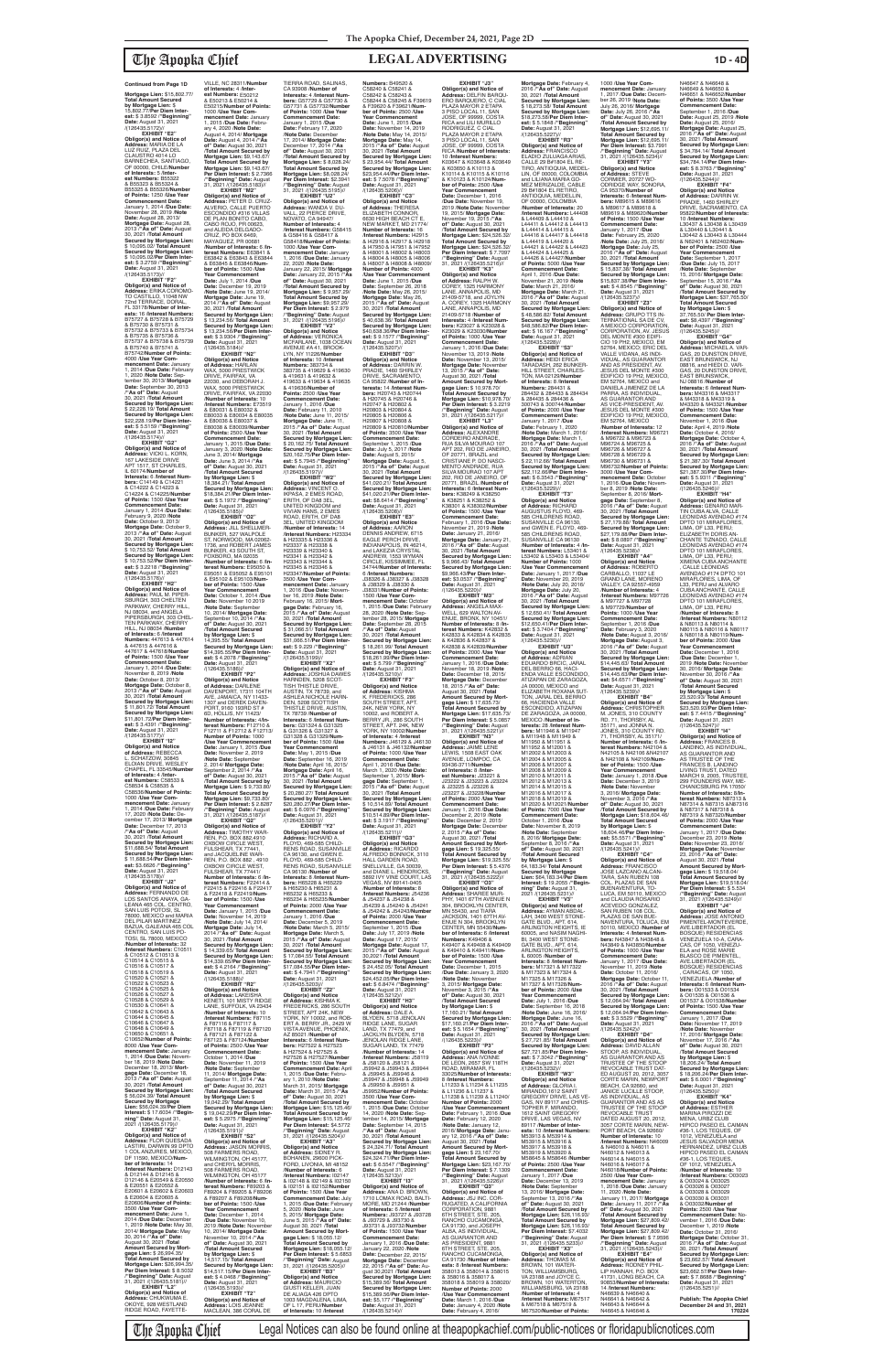The Apopka Chief Legal Notices can also be found online at theapopkachief.com/public-notices or floridapublicnotices.com

**Mortgage Lien:** \$15,802.77/ **Total Amount Secured by Mortgage Lien:** \$ 15,802.77/**Per Diem Interest:** \$ 3.8592 /"**Beginning"**<br>**Date:** August 31, 2021<br>/(126435.5172)//

# The Apopka Chief **LEGAL ADVERTISING 1D - 4D**

**EXHIBIT "E2" Obligor(s) and Notice of Address:** MARIA DE LA LUZ RUIZ, PLAZA DEL CLAUSTRO 4014 LO BARNECHEA, SANTIAGO, OF 00000, CHILE/**Number of Interests:** 5 /**Interest Numbers:** B55322 & B55323 & B55324 & B55325 & B55326/**Number of Points:** 1250 /**Use Year Commencement Date:** January 1, 2014 /**Due Date:** November 28, 2019 /**Note Date:** August 28, 2013/ **Mortgage Date:** August 28, 2013 /**"As of" Date:** August 30, 2021 /**Total Amount Secured by Mortgage Lien:** \$ 10,095.02/ **Total Amount Secured by Mortgage Lien:** \$ 10,095.02/**Per Diem Interest:** \$ 3.2759 /**"Beginning" Date:** August 31, 2021<br>/(126435.5173)//

**EXHIBIT "G2" Obligor(s) and Notice of<br><b>Address:** VICKI L. KORN,<br>167 LAKESIDE DRIVE<br>APT 1517, ST CHARLES, IL 60174/**Number of Interests:** 6 /**Interest Numbers:** C14149 & C14221 & C14222 & C14223 & C14224 & C14225/**Number of Points:** 1500 /**Use Year Commencement Date:** January 1, 2014 /**Due Date:** February 9, 2020 /**Note Date:** October 9, 2013/ **Mortgage Date:** October 9,<br>2013 /**"As of" Date:** August<br>30, 2021 /**Total Amount Secured by Mortgage Lien:** \$ 10,753.52/ **Total Amount Secured by Mortgage Lien:** \$ 10,753.52/**Per Diem Interest:** \$ 3.2218 /**"Beginning" Date:** August 31, 2021 /(126435.5176)//<br>**"EXHIBIT "H2** 

**EXHIBIT "F2" Obligor(s) and Notice of Address:** ERIKA COROMO-TO CASTILLO, 11048 NW 72nd TERRACE, DORAL, FL 33178/**Number of Interests:** 16 /**Interest Numbers:** B75727 & B75728 & B75729 & B75730 & B75731 & B75732 & B75733 & B75734 & B75735 & B75736 & B75737 & B75738 & B75739 & B75740 & B75741 & B75742/**Number of Points:** 4000 /**Use Year Commencement Date:** January 1, 2014 /**Due Date:** February 1, 2020 /**Note Date:** September 30, 2013/ **Mortgage Date:** September 30, 2013 /**"As of" Date:** August 30, 2021 /**Total Amount Secured by Mortgage Lien:** \$ 22,228.19/ **Total Amount Secured by Mortgage Lien:** \$22,228.19/**Per Diem Inter-est:** \$ 5.5159 /**"Beginning" Date:** August 31, 2021 /(126435.5174)//

**Obligor(s) and Notice of Address:** REBECCA L. SCHATZOW, 30845 ELOIAN DRIVE, WESLEY CHAPEL, FL 33545/**Number of Interests:** 4 /**Interest Numbers:** C58533 & C58534 & C58535 & C58536/**Number of Points:** 1000 /**Use Year Commencement Date:** January 1, 2014 /**Due Date:** February 17, 2020 /**Note Date:** December 17, 2013/ **Mortgage Date:** December 17, 2013 /**"As of" Date:** August 30, 2021 /**Total Amount Secured by Mortgage Lien:** \$11,688.54/ **Total Amount Secured by Mortgage Lien:** \$ 11,688.54/**Per Diem Interest:** \$3.6626 /"**Beginning"**<br>**Date:** August 31, 2021<br>/(126435.5178)// **EXHIBIT "J2" Obligor(s) and Notice of<br>Address: FERNANDO DE Address:** FERNANDO DE<br>LOS SANTOS ANAYA, GA-<br>LEANA 465 COL. CENTRO,<br>SAN LUIS POTOSI, SL 78000, MEXICO and MARIA DEL PILAR MARTINEZ BAZUA, GALEANA 465 COL CENTRO, SAN LUIS PO-TOSI, SL 78000, MEXICO /**Number of Interests:** 32 /**Interest Numbers:** C10511 & C10512 & C10513 & C10514 & C10515 & C10516 & C10517 & C10518 & C10519 & C10520 & C10521 & C10522 & C10523 & C10524 & C10525 & C10526 & C10527 & C10528 & C10529 & C10530 & C10641 & C10642 & C10643 & C10644 & C10645 & C10646 & C10647 & C10648 & C10649 & C10650 & C10651 & C10652/**Number of Points:** 8000 /**Use Year Commencement Date:** January 1, 2014 /**Due Date:** Novem-ber 18, 2019 /**Note Date:** December 18, 2013/ **Mort-gage Date:** December 18, 2013 /**"As of" Date:** August 30, 2021 /**Total Amount Secured by Mortgage Lien:** \$ 56,024.39/ **Total Amount Secured by Mortgage Lien:** \$56,024.39/**Per Diem Interest:** \$ 17.6034 /**"Beginning" Date:** August 31,<br>2021 /(126435.5179)// **EXHIBIT "K2" Obligor(s) and Notice of Address:** FLOR QUESADA LASTIRI, DARWIN 99 DPTC 1 COL ANZURES, MEXICO, DF 11590, MEXICO/**Number of Interests:** 14<br>/**Interest Numbers:** D12143<br>& D12144 & D12145 &<br>D12146 & E20549 & E20550 & E20551 & E20552 & E20601 & E20602 & E20603 & E20604 & E20605 & E20606/**Number of Points:** 3500 /**Use Year Commencement Date:** June 1, 2014 /Due Date: Decembe 1, 2019 /**Note Date:** May 30, 2014/ **Mortgage Date:** May 30, 2014 /**"As of" Date:** August 30, 2021 /**Total Amount Secured by Mortgage Lien:** \$ 26,994.35/ **Total Amount Secured by Mortgage Lien: \$26,994.35/<br><b>Per Diem Interest: \$** 8.5032<br>/**"Beginning" Date:** August<br>31, 2021 /(126435.5181)// **EXHIBIT "L2" Obligor(s) and Notice of<br><b>Address:** CHUKWUMA E.<br>OKOYE, 928 WESTLAND<br>RIDGE ROAD, FAYETTE-

**EXHIBIT "H2" Obligor(s) and Notice of Address:** PAUL M. PIPER-SBURGH, 303 CHELTEN<br>PARKWAY, CHERRY HILL, NJ 08034, and ANGELA PIPERSBURGH, 303 CHEL-TEN PARKWAY, CHERRY HILL, NJ 08034 /**Number of Interests:** 6 /**Interest Numbers:** 447613 & 447614 & 447615 & 447616 & 447617 & 447618/**Number of Points:** 1500 /**Use Year Commencement Date:** January 1, 2014 /**Due Date:** November 8, 2019 /**Note Date:** October 8, 2013/ **Mortgage Date:** October 8, 2013 /**"As of" Date:** August 30, 2021 /**Total Amount Secured by Mortgage Lien:** \$ 11,801.72/ **Total Amount Secured by Mortgage Lien:** \$11,801.72/**Per Diem Inter-est:** \$ 3.4391 /**"Beginning" Date:** August 31, 2021 /(126435.5177)// **EXHIBIT "I2"**

VILLE, NC 28311/**Number of Interests:** 4 /**Interest Numbers:** E50212 & E50213 & E50214 & E50215/**Number of Points:** 1000 /**Use Year Commencement Date:** January 1, 2015 /**Due Date:** February 4, 2020 /**Note Date:** August 4, 2014/ **Mortgage Date:** August 4, 2014 /**"As of" Date:** August 30, 2021 /**Total Amount Secured by Mortgage Lien:** \$9,143.67/ **Total Amount Secured by Mortgage Lien: \$9,143.67/<br><b>Per Diem Interest: \$** 2.7366<br>/**"Beginning" Date:** August<br>31, 2021 /(126435.5183)// **EXHIBIT "M2" Obligor(s) and Notice of Address:** PETER D. CRUZ-ALVERIO, CALLE PUERTO ESCONDIDO #316 VILLAS DE PLAN BONITO CABO, CABO ROJO, PR 00623, and ALEIDA DELGADO-CRUZ, PO BOX 6469, MAYAGUEZ, PR 00681 /**Number of Interests:** 6 /**Interest Numbers:** E63841 & E63842 & E63843 & E63844 & E63845 & E63846/**Number of Points:** 1500 /**Use Year Commencement Date:** July 1, 2014 /**Due Date:** December 19, 2019 /**Note Date:** June 19, 2014/ **Mortgage Date:** June 19, 2014 /**"As of" Date:** August 30, 2021 /**Total Amount Secured by Mortgage Lien:** \$ 13,234.56/ **Total Amount Secured by Mortgage Lien:** \$ 13,234.56/**Per Diem Interest:** \$ 3.9304 /**"Beginning" Date:** August 31, 2021 /(126435.5184)// **EXHIBIT "N2" Obligor(s) and Notice of Address:** HARLAN WAX, 5000 PRESTWICK DRIVE, FAIRFAX, VA 22030, and DEBORAH J. WAX, 5000 PRESTWICK DRIVE, FAIRFAX, VA 22030<br>Number of Interests: 10 **/Interests:** 10<br>**/Interest Numbers**: E73519<br>& E80031 & E80032 &<br>E80033 & E80034 & E80035<br>& E80036 & E80037 & E80038 & E80039/**Number of Points:** 2500 /**Use Year Commencement Date:** January 1, 2015 /**Due Date:** January 3, 2020 /**Note Date:** June 3, 2014/ **Mortgage Date:** June 3, 2014 /**"As of" Date:** August 30, 2021 /**Total Amount Secured by Mortgage Lien:** \$ 18,384.21/ **Total Amount Secured by Mortgage Lien:** \$18,384.21/**Per Diem Interest:** \$ 5.1972 /"**Beginning"**<br>**Date:** August 31, 2021<br>/(126435.5185)// **EXHIBIT "O2" Obligor(s) and Notice of Address:** JILL SHELLMER-BUNKER, 527 WALPOLE ST, NORWOOD, MA 02062- 1736, and ROBERT JAMES BUNKER, 43 SOUTH ST, FOXBORO, MA 02035 /**Number of Interests:** 6 /**Interest Numbers:** E95050 & E95051 & E95052 & E95101 & E95102 & E95103/**Number of Points:** 1500 /**Use Year Commencement Date:** October 1, 2014 /**Due Date:** November 10 2019 /**Note Date:** Septembe 10, 2014/ **Mortgage Date:** September 10, 2014 /**"As of" Date:** August 30, 2021 /**Total Amount Secured by Mortgage Lien:** \$ 14,395.55/ **Total Amount Secured by Mortgage Lien:** \$14,395.55/**Per Diem Interest:** \$ 4.2078 /**"Beginning" Date:** August 31, 2021 /(126435.5186)//<br>**EXHIBIT** "P2" **EXHIBIT "P2"<br>
<b>Obligor(s) and Notice**<br> **of Address:** DARLENE<br>
DAVENPORT, 17311 104TH<br>
AVE, JAMAICA, NY 11433-1307 and DEREK DAVEN-PORT, 9160 193RD ST # 6D, HOLLIS, NY 11423/ **Number of Interests:** 4/**Interest Numbers:** F12710 & F12711 & F12712 & F12713/ **Number of Points:** 1000 /**Use Year Commencement Date:** January 1, 2015 /**Due Date:** November 2, 2019 /**Note Date:** September 2, 2014/ **Mortgage Date:** September 2, 2014 /**"As of" Date:** August 30, 2021 /**Total Amount Secured by Mortgage Lien:** \$ 9,733.80/ **Total Amount Secured by Mortgage Lien:** \$9,733.80/ **Per Diem Interest:** \$ 2.8287 /**"Beginning" Date:** August 31, 2021 /(126435.5187)// **EXHIBIT "Q2" Obligor(s) and Notice of Address:** TIMOTHY WAR-REN, P.O. BOX 882,4910 OXBOW CIRCLE WEST, FULSHEAR, TX 77441, and JACQUELINE WAR-REN, P.O. BOX 882 , 4910 OXBOW CIRCLE WEST, FULSHEAR, TX 77441/ **Number of Interests:** 6 /**In-terest Numbers:** F22414 & F22415 & F22416 & F22417 & F22418 & F22419/**Number of Points:** 1500 /**Use Year Commencement Date:** January 1, 2015 /**Due Date:** November 14, 2019 /**Note Date:** July 14, 2014/ **Mortgage Date:** July 14, 2014 /**"As of" Date:** August 30, 2021 /**Total Amount Secured by Mortgage Lien:** \$ 14,339.65/ **Total Amount Secured by Mortgage Lien:** \$14,339.65/**Per Diem Inter-est:** \$ 4.2164 /**"Beginning" Date:** August 31, 2021 /(126435.5188)// **EXHIBIT "R2" Obligor(s) and Notice of Address:** LAKEISHA<br>KENETI, 101 MISTY RIDGE LANE, SUFFOLK, VA 23434 /**Number of Interests:** 10 /**Interest Numbers:** F87115 & F87116 & F87117 & F87118 & F87119 & F87120 & F87121 & F87122 & F87123 & F87124/**Number of Points:** 2500 /**Use Year Commencement Date:** October 1, 2014 /**Due Date:** November 11, 2019 /**Note Date:** September 11, 2014/ **Mortgage Date:** September 11, 2014 /**"As of" Date:** August 30, 2021 /**Total Amount Secured by Mortgage Lien:** \$ 19,042.29/ **Total Amount Secured by Mortgage Lien:** \$ 19,042.29/**Per Diem Interest:** \$ 5.2975 /"**Beginning"**<br>**Date:** August 31, 2021<br>/(126435.5191)// **EXHIBIT "S2" Obligor(s) and Notice of Address:** JASON MORRIS, 508 FARMERS ROAD, WILMINGTON, OH 45177, and CHERYL MORRIS, 508 FARMERS ROAD, WILMINGTON, OH 45177 /**Number of Interests:** 6 /**Interest Numbers:** F89203 & F89204 & F89205 & F89206 & F89207 & F89208/**Number of Points:** 1500 /**Use Year Commencement Date:** December 1, 2014 /**Due Date:** November 10, 2019 /**Note Date:** November 10, 2014/ **Mortgage Date:** November 10, 2014 /**"As of" Date:** August 30, 2021 /**Total Amount Secured by Mortgage Lien:** \$ 14,517.15/ **Total Amount Secured by Mortgage Lien:** \$14,517.15/**Per Diem Interest:** \$ 4.0468 /**"Beginning" Date:** August 31, 2021 /(126435.5193)// **EXHIBIT "T2" Obligor(s) and Notice of Address:** LOIS JEANNE<br>MACLEAN, 386 CORAL DE **ber of Points:** 1500 /**Use Year Commencement Date:** May 1, 2015 /**Due** 

**Mortgage Date:** February 4, 2016 /**"As of" Date:** August 30, 2021 /**Total Amount Secured by Mortgage Lien:** \$ 18,273.58/ **Total Amount Secured by Mortgage Lien:** \$18,273.58/**Per Diem Interest:** \$ 5.1848 /**"Beginning" Date:** August 31, 2021 /(126435.5227)// **EXHIBIT "R3" Obligor(s) and Notice of Address:** FRANCISCO ELADIO ZULUAGA ARIAS, CALLE 29 B#1804 EL RE-TIRO, ANTIOQUIA, MEDEL-LIN, OF 00000, COLOMBIA and LILIANA MARIA GO-MEZ MERIZALDE, CABLE 29 B#1804 EL RETIRO, ANTIOQUIA, MEDELLIN, OF 00000, COLOMBIA<br>/**Number of Interests:** 20<br>/**Interest Numbers:** L44408<br>& L44409 & L44410 & L44411 & L44412 & L44413 & L44414 & L44415 & L44416 & L44417 & L44418 & L44419 & L44420 & L44421 & L44422 & L44423 & L44424 & L44425 & L44426 & L44427/**Numbe of Points:** 5000 /**Use Year Commencement Date:** April 1, 2016 /**Due Date:** November 21, 2019 /**Note Date:** March 21, 2016/ **Mortgage Date:** March 21, 2016 /**"As of" Date:** August 30, 2021 /**Total Amount Secured by Mortgage Lien:** \$ 48,586.82/ **Total Amount Secured by Mortgage Lien:** \$48,586.82/**Per Diem Inter-est:** \$ 16.167 /**"Beginning" Date:** August 31, 2021 /(126435.5228)// **EXHIBIT "S3" Obligor(s) and Notice of Address:** HEIDI ERICA TARADASH, 262 BUNKER-HILL STREET, CHARLES-TON, MA 02129/**Number of Interests:** 8 /**Interest Numbers:** 284431 & 284432 & 284433 & 284434 & 284435 & 284436 & 300743 & 300744/**Number of Points:** 2000 /**Use Year Commencement Date:** January 1, 2017 /**Due Date:** February 1, 2020 /**Note Date:** March 1, 2016/ **Mortgage Date:** March 1, 2016 /**"As of" Date:** August 30, 2021 /**Total Amount Secured by Mortgage Lien:** \$ 22,112.66/ **Total Amount Secured by Mortgage Lien:** \$22,112.66/**Per Diem Inter-est:** \$ 6.3543 /**"Beginning" Date:** August 31, 2021 /(126435.5229)// **EXHIBIT "T3" Obligor(s) and Notice of Address:** RICHARD AUGUSTUS FLOYD, 469- 585 CHILDRENS ROAD, SUSANVILLE CA 96130,<br>and GWEN E. FLOYD, 469-585 CHILDRENS ROAD, SUSANVILLE CA 96130 /**Number of Interests:** 4 /**In-terest Numbers:** L53401 & L53402 & L53403 & L53404/ **Number of Points:** 1000 /Use Year Commencemen **Date:** January 1, 2017 /**Due Date:** November 20, 2019 /**Note Date:** July 20, 2016/ **Mortgage Date:** July 20, 2016 /**"As of" Date:** August 30, 2021 /**Total Amount Secured by Mortgage Lien:** \$ 12,650.41/ **Total Amount Secured by Mortgage Lien:** \$12,650.41/**Per Diem Inter-est:** \$ 3.7404 /**"Beginning" Date:** August 31, 2021<br>/(126435.5230)// **EXHIBIT "U3" Obligor(s) and Notice of Address:** ADRIAN EDUARDO BRCIC, JARAL DEL BERRIO 66, HACI-<br>ENDA VALLE ESCONDIDO ENDA VALLE ESCONDIDO,<br>ATIZAPAN DE ZARAGOZA,<br>JA 00000, MEXICO and<br>ELIZABETH ROXANA SUT-<br>TON, JARAL DEL BERRIO

66, HACIENDA VALLE ESCONDIDO, ATIZAPAN<br>DE ZARAGOZA, JA 00000, MEXICO /**Number of Interests:** 28 /**Interest Num-bers:** M11946 & M11947 & M11948 & M11949 & M11950 & M11951 & M11952 & M12001 & M12002 & M12003 & M12004 & M12005 & M12006 & M12007 & M12008 & M12009 & M12010 & M12011 & M12012 & M12013 & M12014 & M12015 & M12016 & M12017 & M12018 & M12019 & M12020 & M12021/**Number of Points:** 7000 /**Use Year Commencement Date:** October 1, 2016 /**Due Date:** November 8, 2019 /**Note Date:** September 8, 2016/ **Mortgage Date:** September 8, 2016 /**"As of" Date:** August 30, 2021 /**Total Amount Secured by Mortgage Lien:** \$ 64,183.34/ **Total Amount Secured by Mortgage Lien:** \$64,183.34/**Per Diem Interest:** \$ 19.2055 /**"Begin-ning" Date:** August 31, 2021 /(126435.5231)// **EXHIBIT "V3" Obligor(s) and Notice of Address:** AYMAN ABDAL-LAH, 3400 WEST STONE-GATE BLVD., APT. 614, ARLINGTON HEIGHTS 60005, and NASIM NAGHI BI, 3400 WEST STONE-GATE BLVD., APT. 614,<br>ARLINGTON HEIGHTS, IL 60005 /**Number of Interests:** 8 /**Interest Num-bers:** M17321 & M17322 & M17323 & M17324 & M17325 & M17326 & M17327 & M17328/**Number of Points:** 2000 /**Use Year Commencement Date:** July 1, 2016 /**Due Date:** September 16, 2018 /**Note Date:** June 16, 2016/ **Mortgage Date:** June 16, 2016 /**"As of" Date:** August 30, 2021 /**Total Amount Secured by Mortgage Lien:** \$ 27,721.85/ **Total Amount Secured by Mortgage Lien:** \$27,721.85/**Per Diem Inter-est:** \$ 7.3042 /**"Beginning" Date:** August 31, 2021 /(126435.5232)// **EXHIBIT "W3"<br><b>Obligor(s) and Notice**<br>**of Address:** GLORIA I.<br>MIRANDO,1612 SAINT<br>GREGORY DRIVE, LAS VE-<br>GAS, NV 89117 and CHRIS-TOPHER F. MIRANDO, 1612 SAINT GREGORY DRIVE, LAS VEGAS, NV 89117 /**Number of Inter-ests:** 10 /**Interest Numbers:** M53913 & M53914 & M53915 & M53916 & M53917 & M53918 &<br>M53919 & M53920 & M53919 & M53920 & M58645 & M58646 /**Number of Points:** 2500 /**Use Year Commencement Date:** January 1, 2017 /**Due Date:** December 13, 2019 /**Note Date:** September 13, 2016/ **Mortgage Date:** September 13, 2016 /**"As of" Date:** August 30, 2021 /**Total Amount Secured by Mortgage Lien:** \$26,116.93/ **Total Amount Secured by Mortgage Lien:** \$26,116.93/ **Per Diem Interest:** \$7.4032 /**"Beginning" Date:** August 31, 2021 /(126435.5233)// **EXHIBIT "X3" Obligor(s) and Notice of<br><b>Address:** THOMAS M.<br>BROWN, 101 WATER-<br>TON, WILLIAMSBURG, VA 23188 and JOYCE C. BROWN, 101 WATERTON, WILLIAMSBURG, VA 23188

TIERRA ROAD, SALINAS, CA 93908 /**Number of Interests:** 4 /**Interest Numbers:** G57729 & G57730 & G57731 & G57732/**Number of Points:** 1000 /**Use Year Commencement Date:** January 1, 2015 /**Due Date:** February 17, 2020 /**Note Date:** December 17, 2014/ **Mortgage Date:** December 17, 2014 /**"As of" Date:** August 30, 2021 /**Total Amount Secured by Mortgage Lien:** \$ 8,028.24/ **Total Amount Secured by Mortgage Lien:** \$8,028.24/ **Per Diem Interest:** \$2.3941 /**"Beginning" Date:** August 31, 2021 /(126435.5195)//<br>**FXHIRIT "II2" EXHIBIT "U2"<br><b>Obligor(s) and Notice of**<br>**Address:** WANDA V. DU-<br>VALL, 22 PIERCE DRIVE,<br>NOVATO, CA 94947/ **Number of Interests:** 4 /**Interest Numbers:** G58415 & G58416 & G58417 & G58418/**Number of Points:** 1000 /**Use Year Commencement Date:** January 1, 2016 /**Due Date:** January 22, 2020 /**Note Date:** January 22, 2015/ **Mortgage Date:** January 22, 2015 /**"As of" Date:** August 30, 2021 /**Total Amount Secured by**  Mortgage Lien: \$ 9,957.29/<br>**Mortgage Lien: \$9,957.29/<br><b>Mortgage Lien: \$9,957.29/**<br>**Per Diem Interest: \$** 2.979<br>/**"Beginning" Date:** August<br>31, 2021 /(126435.5196)// **EXHIBIT "V2" Obligor(s) and Notice of Address:** VERONICA MCFARLANE, 1038 OCEAN AVENUE #A 41, BROOK-LYN, NY 11226/**Number of Interests:** 10 /**Interest Numbers: 383734 &<br>383735 & 419629 & 419630** 383735 & 419629 & 419630 & 419631 & 419632 & 419633 & 419634 & 419635 & 419636/**Number of Points:** 2500 /**Use Year Commencement Date:** January 1, 2016 /**Due Date:** February 11, 2010 /**Note Date:** June 11, 2015/ **Mortgage Date:** June 11, 2015 /**"As of" Date:** August 30, 2021 /**Total Amount Secured by Mortgage Lien:**<br>\$20.162.75/**Total Amount** \$ 20,162.75/ **Total Amount Secured by Mortgage Lien:** \$20,162.75/**Per Diem Inter-est:** \$ 5.7945 /**"Beginning" Date:** August 31, 2021 /(126435.5197)// **EXHIBIT "W2" Obligor(s) and Notice of Address:** VINCENT O. IKPASA, 2 EMES ROAD, ERITH, OF DA8 3EL, UNITED KINGDOM and VIVIAN HANS, 2 EMES ROAD, ERITH, OF DA8 3EL, UNITED KINGDOM /**Number of Interests:** 14 /**Interest Numbers:** H23334 & H23335 & H23336 & H23337 & H23338 & H23339 & H23340 & H23341 & H23342 & H23343 & H23344 & H23345 & H23346 & H23347/**Number of Points:** 3500 /**Use Year Commencement Date:** January 1, 2016 /**Due Date:** Novem-ber 16, 2019 /**Note Date:** February 16, 2015/ **Mortgage Date:** February 16, 2015 /**"As of" Date:** August 30, 2021 /**Total Amount Secured by Mortgage Lien:** \$ 31,066.51/ **Total Amount Secured by Mortgage Lien:** \$31,066.51/**Per Diem Inter-est:** \$ 9.229 /**"Beginning" Date:** August 31, 2021 /(126435.5199)// **EXHIBIT "X2" Obligor(s) and Notice of Address:** JOSHUA DAWES HARNDEN, 5208 SCOT-TISH THISTLE DRIVE, AUSTIN, TX 78739, and ASHLEA NICHOLE HARN-DEN, 5208 SCOTTISH THISTLE DRIVE, AUSTIN, TX 78739 /**Number of Interests:** 6 /**Interest Numbers:** G31324 & G31325 & G31326 & G31327 & G31328 & G31329/**Num-Numbers:** B49520 & C58240 & C58241 & C58242 & C58243 & C58244 & C58245 & F39619 & F39620 & F39621/**Num-ber of Points:** 2500 /**Use Year Commencement Date:** June 1, 2015 /**Due Date:** November 14, 2019 /**Note Date:** May 14, 2015/ **Mortgage Date:** May 14, 2015 /**"As of" Date:** August 30, 2021 /**Total Amount Secured by Mortgage Lien:** \$ 23,954.44/ **Total Amount Secured by Mortgage Lien:** \$23,954.44/**Per Diem Inter-est:** \$ 7.5078 /**"Beginning" Date:** August 31, 2021 /(126435.5206)//<br>**FXHIBIT** "C3" **EXHIBIT "C3" Obligor(s) and Notice of Address:** THERESA ELIZABETH CONNOR, 6630 HIGH BEACH CT E, NEW MARKET, MD 21774/ **Number of Interests:** 16 /**Interest Numbers:** I42915 & I42916 & I42917 & I42918 & I47950 & I47951 & I47952 & I48001 & I48002 & I48003 & I48004 & I48005 & I48006 & I48007 & I48008 & I48009/ **Number of Points:** 4000 /**Use Year Commencement Date:** June 1, 2015 /**Due Date:** September 26, 2018 /**Note Date:** May 26, 2015/ **Mortgage Date:** May 26, 2015 /**"As of" Date:** August 30, 2021 /**Total Amount Secured by Mortgage Lien:** \$ 40,638.36/ **Total Amount Secured by Mortgage Lien:** \$40,638.36/**Per Diem Interest:** \$ 9.1577 /**"Beginning"<br><b>Date:** August 31, 2021<br>/(126435.5207)//<br>**EXHIBIT "D3" Obligor(s) and Notice of Address:** DARRIN W. PRADIE, 1460 SHIRLEY DRIVE, SACRAMENTO, CA 95822 /**Number of Interests:** 14 /**Interest Num-bers:** H20743 & H20744 & H20745 & H20746 & H20747 & H20802 & H20803 & H20804 & H20805 & H20806 & H20807 & H20808 & H20809 & H20810/**Number of Points:** 3500 /**Use Year Commencement Date:** September 1, 2015 /**Due Date:** July 5, 2017 /**Note Date:** August 5, 2015/ **Mortgage Date:** August 5, 2015 /**"As of" Date:** August 30, 2021 /**Total Amount Secured by Mortgage Lien:** \$41,020.21/ **Total Amount Secured by Mortgage Lien:** \$41,020.21/**Per Diem Interest:** \$8.6414 /**"Beginning" Date:** August 31, 2021<br>/(126435.5208)// **EXHIBIT "E3" Obligor(s) and Notice of Address:** AARON DENNIS ANDREW, 6715 EAGLE PERCH DRIVE, INDIANAPOLIS, IN 46214, and LAKEZIA CRYSTAL ANDREW, 1553 WYMAN<br>CIRCLE, KISSIMMEE, FL 34744/**Number of Interests:** 6 /**Interest Numbers:** J38326 & J38327 & J38328 & J38329 & J38330 & J38331/**Number of Points:** 1500 /**Use Year Commencement Date:** October tember 28, 2015/ **Mortgage Date:** September 28, 2015<br>/"**As of" Date:** August 30, 2021 /**Total Amount Secured by Mortgage Lien:** \$ 18,261.99/ **Total Amount Secured by Mortgage Lien:** \$18,261.99/**Per Diem Inter-est:** \$ 5.799 /**"Beginning" Date:** August 31, 2021 /(126435.5210)// **EXHIBIT "F3" Obligor(s) and Notice of Address:** KISHMA<br>K. FREDERICKS, 286 SOUTH STREET, APT.<br>24K, NEW YORK, NY<br>10002, and ROBERT A.<br>BERRY JR., 286 SOUTH<br>STREET, APT. 24K, NEW<br>YORK, NY 10002/**Number of Interests:** 4 /**Interest** 

1000 /**Use Year Commencement Date:** January 1, 2017 /**Due Date:** Decem-ber 26, 2019 /**Note Date:** July 26, 2016/ **Mortgage Date:** July 26, 2016 /**"As of" Date:** August 30, 2021 /**Total Amount Secured by Mortgage Lien:** \$12,695.11/ **Total Amount Secured by Mortgage Lien:** \$12,695.11/ **Per Diem Interest:** \$3.7991 /**"Beginning" Date:** August 31, 2021 /(126435.5234)// **EXHIBIT "Y3" Obligor(s) and Notice<br><b>of Address:** STEVE<br>CORMIER, 20727 WO-<br>ODRIDGE WAY, SONORA, CA 95370/**Number of Interests:** 6 /**Interest Numbers:** M89615 & M89616 & M89617 & M89618 & M89619 & M89620/**Number of Points:** 1500 /**Use Year Commencement Date:** January 1, 2017 /**Due Date:** February 25, 2020<br>/**Note Date:** July 25, 2016/<br>**Mortgage Date:** July 25,<br>2016 /**"As of" Date:** August 30, 2021 /**Total Amount Secured by Mortgage Lien:**<br>\$15,837,38/**Total Amount** \$ 15,837.38/ **Total Amount Secured by Mortgage Lien:** \$15,837.38/**Per Diem Inter-est:** \$ 4.8545 /**"Beginning" Date:** August 31, 2021<br>/(126435.5237)// **EXHIBIT "Z3" Obligor(s) and Notice of Address:** GRUPO TTS IN-TERNATIONAL SA DE CV, A MEXICO CORPORATION, CORPORATION, AV. JESUS DEL MONTE #300 EDIFI-CIO 19 PH2, MEXICO, EM 52764, MEXICO; ERIC DEL VALLE VIDANA, AS INDI-VIDUAL, AS GUARANTOR AND AS PRESIDENT, AV. JESUS DEL MONTE #300 EDIFICIO 19 PH2, MEXICO, EM 52764, MEXICO and DANIELA JIMENEZ DE LA PARRA, AS INDIVIDUAL,<br>AS GUARANTOR AND AS VICE-PRESIDENT, AV.<br>JESUS DEL MONTE #300<br>EDIFICIO 19 PH2, MEXICO,<br>EM 52764, MEXICO /**Number of Interests:** 12 /**Interest Numbers:** M96721 & M96722 & M96723 & M96724 & M96725 & M96726 & M96727 & M96728 & M96729 & M96730 & M96731 & M96732/**Number of Points:** 3000 /**Use Year Commencement Date:** October 1, 2016 /**Due Date:** November 8, 2019 /**Note Date:** September 8, 2016/ **Mortgage Date:** September 8,<br>2016 /**"As of" Date:** August<br>30, 2021 /**Total Amount** 

**Date:** September 16, 2019 /**Note Date:** April 16, 2015/ **Mortgage Date:** April 16, 2015 /**"As of" Date:** August 30, 2021 /**Total Amount Secured by Mortgage Lien:** \$ 20,280.27/ **Total Amount Secured by Mortgage Lien:** \$20,280.27/**Per Diem Interest:** \$ 6.0976 /**"Beginning" Date:** August 31, 2021 /(126435.5201)// **EXHIBIT "Y2" Obligor(s) and Notice of Address:** RICHARD A. FLOYD, 469-585 CHILD-RENS ROAD, SUSANVILLE CA 96130, and GWEN E. FLOYD, 469-585 CHILD-RENS ROAD, SUSANVILLE CA 96130 /**Number of Interests:** 8 /**Interest Num-bers:** H65228 & H65229 & H65230 & H65231 & H65232 & H65233 & H65234 & H65235/**Number of Points:** 2000 /**Use Year Commencement Date:** January 1, 2016 /**Due Date:** December 5, 2019 /**Note Date:** March 5, 2015/ **Mortgage Date:** March 5, 2015 /**"As of" Date:** August 30, 2021 /**Total Amoun Secured by Mortgage Lien:** \$ 17,084.55/ **Total Amount Secured by Mortgage Lien:** \$17,084.55/**Per Diem Interest:** \$ 4.7941 /**"Beginning" Date:** August 31, 2021<br>/(126435.5203)// **EXHIBIT "Z2" Obligor(s) and Notice of Address:** KISHMA K. FREDERICKS, 286 SOUTH STREET, APT 24K, NEW YORK, NY 10002, and ROB-ERT A. BERRY JR., 2429 W VISTA AVENUE, PHOENIX, AZ 85021 /**Number of Interests:** 6 /**Interest Num-bers:** H27522 & H27523 & H27524 & H27525 & H27526 & H27527/**Number of Points:** 1500 /**Use Year Commencement Date:** April 1, 2015 /**Due Date:** February 1, 2010 /**Note Date:** March 31, 2015/ **Mortgage Date:** March 31, 2015 /**"As of" Date:** August 30, 2021 /**Total Amount Secured by Mortgage Lien:** \$15,125.46/ **Total Amount Secured by Mortgage Lien:** \$15,125.46/ **Per Diem Interest:** \$4.5772 /**"Beginning" Date:** August 31, 2021 /(126435.5204)// **EXHIBIT "A3" Obligor(s) and Notice of Address:** SIDNEY R. BOHANEN, 29600 PICK-FORD, LIVONIA, MI 48152 /**Number of Interests:** 6 /**Interest Numbers:** I02147 & I02148 & I02149 & I02150 & I02151 & I02152/**Number of Points:** 1500 /**Use Year Commencement Date:** July 1, 2015 /**Due Date:** February 5, 2020 /**Note Date:** June 5, 2015/ **Mortgage Date:** June 5, 2015 /**"As of" Date:** August 30, 2021 /**Total Amount Secured by Mortgage Lien:** \$ 18,055.12/ **Total Amount Secured by Mortgage Lien:** \$18,055.12/ **Per Diem Interest:** \$ 5.6853 /**"Beginning" Date:** August 31, 2021 /(126435.5205)// **EXHIBIT "B3" Obligor(s) and Notice of Address:** MAURICIO GIUSTI KELLER, JUAN<br>DE ALIAGA 426 DPTO<br>1003 MAGDALENA, LIMA, OF L 17, PERU/**Number of Interests:** 10 /**Interest**  /(126435.5213)//

N46647 & N46648 & N46649 & N46650 & N46651 & N46652/**Numbe of Points:** 3500 /**Use Year Commencement Date:** September 1, 2016 /**Due Date:** August 25, 2019 /**Note Date:** August 25, 2016/ **Mortgage Date:** August 25, 2016 /**"As of" Date:** August 30, 2021 /**Total Amount Secured by Mortgage Lien:** \$ 34,784.14/ **Total Amount Secured by Mortgage Lien:** \$34,784.14/**Per Diem Interest:** \$ 8.3763 /"**Beginning"**<br>**Date:** August 31, 2021<br>/(126435.5244)//

1, 2015 /**Due Date:** February 28, 2020 /**Note Date:** Sep-**Numbers:** J46129 & J46130 & J46131 & J46132/**Number of Points:** 1000 /**Use Year Commencement Date:** April 1, 2016 /**Due Date:** March 1, 2020 /**Note Date:** ember 1, 2015/ **Mort-**<br>**Bate:** September 1 **gage Date:** September 1, 2015 /**"As of" Date:** August 30, 2021 /**Total Amount Secured by Mortgage Lien:** \$ 10,514.89/ **Total Amount Secured by Mortgage Lien:** \$10,514.89/**Per Diem Interest:** \$ 3.1917 /"**Beginning"**<br>**Date:** August 31, 2021<br>/(126435.5211)// **EXHIBIT "G3" Obligor(s) and Notice of Address:** RICARDO ALFREDO BONNICK, 3110 HALL GARDEN ROAD, SNELLVILLE, GA 30039 and DIANE L. HENDRICKS 5892 IVY VINE COURT, LAS VEGAS, NV 89141-0405 /**Number of Interests:** 8 /**Interest Numbers:** J54236 & J54237 & J54238 & J54239 & J54240 & J54241 & J54242 & J54243/**Number of Points:** 2000 /**Use Year Commencement Date:** September 1, 2015 /**Due Date:** July 17, 2019 /**Note Date:** August 17, 2015/ **Mortgage Date:** August 17, 2015 /**"As of" Date:** August 30,2021 /**Total Amount Secured by Mortgage Lien:** \$ 24,452.05/ **Total Amount Secured by Mortgage Lien:** \$24,452.05/**Per Diem Interest:** \$ 6.8474 /"**Beginning"**<br>**Date:** August 31, 2021<br>/(126435.5212)// **EXHIBIT "H3" Obligor(s) and Notice of Address:** DALE A. BLYDEN, 5718 JENOLAN RIDGE LANE, SUGAR LAND, TX 77479, and JACKLYN BLYDEN, 5718 JENOLAN RIDGE LANE,<br>SUGAR LAND, TX 77479 /**Number of Interests:** 14 /**Interest Numbers:** J58119 & J58120 & J58121 & J59942 & J59943 & J59944 & J59945 & J59946 & J59947 & J59948 & J59949 & J59950 & J59951 & J59952/**Number of Points:** 3500 /**Use Year Com-mencement Date:** October 1, 2015 /**Due Date:** Octobe 14, 2020 /**Note Date:** September 14, 2015/ **Mortgage Date:** September 14, 2015 /**"As of" Date:** August 30, 2021 /**Total Amount Secured by Mortgage Lien:** \$ 24,324.71/ **Total Amount Secured by Mortgage Lien:** \$24,324.71/**Per Diem Inter-est:** \$ 6.5547 /**"Beginning" Date:** August 31, 2021 **EXHIBIT "I3" Obligor(s) and Notice of Address:** ANA D. BROWN, 1710 LOMAX ROAD, BALTI-MORE, MD 21244 /**Number of Interests:** 6 /**Interest Numbers:** J93727 & J93728 & J93729 & J93730 & J93731 & J93732/**Number of Points:** 1500 /**Use Year Commencement Date:** January 1, 2016 /**Due Date:** January 22, 2020 /**Note Date:** December 22, 2015/ **Mortgage Date:** December 22, 2015 /**"As of" Date:** August 30,2021 /**Total Amount Secured by Mortgage Lien:** \$15,389.56/ **Total Amount Secured by Mortgage Lien:** \$15,389.56/**Per Diem Inter-est:** \$5,177 /**"Beginning" Date:** August 31, 2021<br>/(126435.5214)// **EXHIBIT "J3" Obligor(s) and Notice of Address:** DELFIN BARQU-ERO BARQUERO, C CIAL PLAZA MAYOR 2 ETAPA 3 PISO LOCAL 11, SAN JOSE, OF 99999, COSTA RICA and LILI MURILLO RODRIGUEZ, C CIAL PLAZA MAYOR 2 ETAPA<br>3 PISO LOCAL 11, SAN<br>JOSE, OF 99999, COSTA<br>RICA /**Number of Interests:** 10 /**Interest Numbers:** K03647 & K03648 & K03649 & K03650 & K10113 & K10114 & K10115 & K10116 & K10123 & K10124/**Number of Points:** 2500 /**Use Year Commencement Date:** December 1, 2016 /**Due Date:** November 19, 2019 /**Note Date:** November 19, 2015/ **Mortgage Date:** November 19, 2015 /**"As of" Date:** August 30, 2021 /**Total Amount Secured by Mortgage Lien:** \$24,526.32/ **Total Amount Secured by Mortgage Lien:** \$24,526.32/ **Per Diem Interest:** \$ 7.7097 /**"Beginning" Date:** August 31, 2021 /(126435.5216)// **EXHIBIT "K3" Obligor(s) and Notice of Address:** RALPH W. COREY, 1325 HARMONY LANE, ANNAPOLIS, MD<br>21409-5718, and JOYLYN 21409-5718, and JOYLYN A. COREY, 1325 HARMONY LANE, ANNAPOLIS, MD 21409-5718 /**Number of Interests:** 4 /**Interest Numbers:** K23027 & K23028 & K23029 & K23030/**Number of Points:** 1000 /**Use Year Commencement Date:** January 1, 2016 /**Due Date:** November 13, 2019 /**Note Date:** November 13, 2015/ **Mortgage Date:** November 13, 2015 /**"As of" Date:** August 30, 2021 /**Total Amount Secured by Mort-gage Lien:** \$ 10,978.70/ **Total Amount Secured by Mortgage Lien: \$10,978.70/<br><b>Per Diem Interest: \$** 3.2219<br>**"Beginning" Date:** August<br>31, 2021 /(126435.5217)//<br>**EXHIBIT "L3" Obligor(s) and Notice of Address:** ALEXANDRE CORDEIRO ANDRADE,<br>BUA SILVA MOURAO 107 RUA SILVA MOURAO 107 APT 202, RIO DE JANEIRO, OF 20771, BRAZIL and<br>CRISTIANE P. DO NASCI-MENTO ANDRADE, RUA SILVA MOURAO 107 APT 202, RIO DE JANEIRO, OF 20771, BRAZIL /**Number of Interests:** 6 /**Interest Num-bers:** K38249 & K38250 & K38251 & K38252 & K38301 & K38302/**Number of Points:** 1500 /**Use Year Commencement Date:** February 1, 2016 /**Due Date:** November 21, 2019 /**Note Date:** January 21, 2016/ **Mortgage Date:** January 21, 2016 /**"As of" Date:** August 30, 2021 /**Total Amount Secured by Mortgage Lien:** \$ 9,966.43/ **Total Amount Secured by Mortgage Lien:** \$9,966.43/**Per Diem Inter-est:** \$3.0537 /**"Beginning" Date:** August 31, 2021 /(126435.5220)// **EXHIBIT "M3" Obligor(s) and Notice of Address:** ANGELA MAX-WELL, 629 WALTON AV ENUE, BRONX, NY 10451/ **Number of Interests:** 8 /**In-terest Numbers:** K42832 & K42833 & K42834 & K42835 & K42836 & K42837 & K42838 & K42839/**Number of Points:** 2000 /**Use Year Commencement Date:** January 1, 2016 /**Due Date:** November 18, 2019 /**Note Date:** December 18, 2015/ **Mortgage Date:** December<br>18, 2015 /**"As of" Date:**<br>August 30, 2021 /**Total**<br>**Amount Secured by Mortgage Lien:** \$ 17,635.73/ **Total Amount Secured by Mortgage Lien:** \$17,635.73/ **Per Diem Interest:** \$ 5.0857 /**"Beginning" Date:** August 31, 2021 /(126435.5221)// **EXHIBIT "N3" Obligor(s) and Notice of Address:** JAIME LENE LEWIS, 1508 EAST OAK AVENUE, LOMPOC, CA 93436-3711/**Number of Interests:** 8 /**Interest Numbers:** J23221 & J23222 & J23223 & J23224 & J23225 & J23226 & J23227 & J23228/**Number of Points:** 2000 /**Use Year Commencement Date:** January 1, 2016 /**Due Date:** December 2, 2019 /**Note Date:** December 2, 2015/ **Mortgage Date:** December 2, 2015 /**"As of" Date:** August 30, 2021 /**Total Amount Secured by Mort-gage Lien:** \$ 19,325.55/ **Total Amount Secured by Mortgage Lien:** \$19,325.55/ **Per Diem Interest:** \$ 5.4376 /**"Beginning" Date:** August 31, 2021 /(126435.5222)// **EXHIBIT "O3" Obligor(s) and Notice of Address:** SHAREE MUR-PHY, 1401 67TH AVENUE N 304, BROOKLYN CENTER, MN 55430, and TIARA<br>JACKSON, 1401 67TH AV-JACKSON, 1401 67TH AV-ENUE N 304, BROOKLYN CENTER, MN 55430/**Number of Interests:** 6 /**Interest Numbers:** K49406 & K49407 & K49408 & K49409 & K49410 & K49411/**Number of Points:** 1500 /**Use Year Commencement Date:** December 1, 2015 /**Due Date:** January 3, 2020 /**Note Date:** November 3, 2015/ **Mortgage Date:** November 3, 2015 /**"As of" Date:** August 30, 2021 /**Total Amount Secured by Mortgage Lien:** \$ 17,160.21/ **Total Amount Secured by Mortgage Lien:** \$17,160.21/**Per Diem Inter-est:** \$ 5.1654 /**"Beginning" Date:** August 31, 2021 /(126435.5223)// **EXHIBIT "P3" Obligor(s) and Notice of<br><b>Address:** ANA IVONNE<br>DE LEON, 2657 SW 118TH<br>ROAD, MIRAMAR, FL 33025/**Number of Interests:** 8 /**Interest Numbers:** L11233 & L11234 & L11235 & L11236 & L11237 & L11238 & L11239 & L11240/ **Number of Points:** 2000 /**Use Year Commencement Date:** February 1, 2016 /**Due Date:** February 12, 2020 /**Note Date:** January 12, 2016/ **Mortgage Date:** Janu-ary 12, 2016 /**"As of" Date:** August 30, 2021 /**Total Amount Secured by Mortgage Lien:** \$ 23,167.70/ **Total Amount Secured by Mortgage Lien:** \$23,167.70/ **Per Diem Interest:** \$ 7.1309 /**"Beginning" Date:** August 31, 2021 /(126435.5226)// **EXHIBIT "Q3" Obligor(s) and Notice of Address:** JSJ INC. COR-RUGATED, A CALIFORNIA CORPORATION, 9881 6TH STREET, STE. 205, RANCHO CUCAMONGA,<br>CA 91730, and JOSEPH<br>ALBA, AS INDIVIDUAL,<br>AS GUARANTOR AND AS PRESIDENT, 9881 6TH STREET, STE. 205, RANCHO CUCAMONGA, CA 91730 /**Number of Inter-ests:** 8 /**Interest Numbers:** ests: 8 /Interest Numbers:<br>358013 & 358014 & 358015 & 358016 & 358017 & 358018 & 358019 & 358020/ **Number of Points:** 2000 /**Use Year Commencement Date:** March 1, 2016 /**Due Date:** January 4, 2020 /**Note Date:** February 4, 2016/ /**Number of Interests:** 4 /**Interest Numbers:** M67517 & M67518 & M67519 & M67520/**Number of Points:**

**Secured by Mortgage Lien:** \$ 27,179.88/ **Total Amount Secured by Mortgage Lien:** \$27,179.88/**Per Diem Interest:** \$ 8.0897 /**"Beginning"<br><b>Date:** August 31, 2021<br>/(126435.5238)//<br>**EXHIBIT "A4" Obligor(s) and Notice of Address:** ROBERTO<br>CARBALLO, 11037 LE<br>GRAND LANE, MORENO VALLEY, CA 92557-4959 /**Number of Interests:** 4 /**Interest Numbers:** M97726 & M97727 & M97728 & M97729/**Number of**  Points: 1000 /**Use Year Commencement Date:** September 1, 2016 /**Due Date:** February 3, 2020 /**Note Date:** August 3, 2016/ **Mortgage Date:** August 3, 2016 /**"As of" Date:** August 30, 2021 /**Total Amount Secured by Mortgage Lien:** \$14,445.63/ **Total Amount Secured by Mortgage Lien:** \$14,445.63/**Per Diem Interest:** \$4.6571 /**"Beginning"<br><b>Date:** August 31, 2021<br>/(126435.5239)//<br>**EXHIBIT "B4" Obligor(s) and Notice of** 

**Address:** CHRISTOPHER M. JONES, 310 COUNTY RD. 71, THORSBY, AL 35171, and JONNA N. JONES, 310 COUNTY RD. 71, THORSBY, AL 35171/ **Number of Interests:** 6 *l*In-<br>**terest Numbers:** N42104 &<br>N42105 & N42106 &N42107 & N42108 & N42109/**Number of Points:** 1500 /**Use Year Commencement Date:** January 1, 2018 /**Due Date:** December 3, 2019

/**Note Date:** November 3, 2016/ **Mortgage Date:** November 3, 2016 /**"As of" Date:** August 30, 2021 /**Total Amount Secured by Mortgage Lien:** \$18,604.46/ **Total Amount Secured by Mortgage Lien:** \$ 18,604.46/**Per Diem Interest:** \$5.5571 /**"Beginning" Date:** August 31, 2021<br>/(126435.5241)// **EXHIBIT "C4" Obligor(s) and Notice of Address:** FRANCISCO JOSE LAZCANO ALCAN-TARA, SAN RUBEN 108<br>COL PLAZAS DE SAN COL. PLAZAS DE SAN BUENAVENTURA, TO-LUCA, EM 50110, MEXICO and CLAUDIA ROSARIO ACEVEDO GONZALEZ, SAN RUBEN 108 COL. PLAZAS DE SAN BUE-NAVENTURA, TOLUCA, EM 50110, MEXICO /**Number of Interests:** 4 /**Interest Numbers:** N43847 & N43848 & N43849 & N43850/**Number of Points:** 1000 /**Use Year Commencement Date:** January 1, 2017 /**Due Date:** November 11, 2019 /**Note Date:** October 11, 2016/ **Mortgage Date:** October 11,<br>2016 /**"As of" Date:** August<br>30, 2021 /**Total Amount Secured by Mortgage Lien:** \$ 12,064.94/ **Total Amount Secured by Mortgage Lien:** \$ 12,064.94/**Per Diem Interest:** \$ 3.5529 /**"Beginning" Date:** August 31, 2021 /(126435.5242)// **EXHIBIT "D4" Obligor(s) and Notice of Address:** DAVID ALLAN STOOP, AS INDIVIDUAL, AS GUARANTOR AND AS TRUSTEE OF THE STOOP REVOCABLE TRUST DAT-ED AUGUST 20, 2012, 3057 CORTE MARIN, NEWPORT BEACH, CA 92660, and JANICE LUCILLE STOOP, AS INDIVIDUAL, AS GUARANTOR AND AS AS TRUSTEE OF THE STOOP REVOCABLE TRUST DATED AUGUST 20, 2012, 3057 CORTE MARIN, NEW-PORT BEACH, CA 92660/ **Number of Interests:** 10 /**Interest Numbers:** N46009 & N46010 & N46011 & N46012 & N46013 & N46014 & N46015 & N46016 & N46017 & N46018/**Number of Points:** 2500 /**Use Year Com-mencement Date:** January 1, 2018 /**Due Date:** January 11, 2020 /**Note Date:** January 11, 2017/ **Mortgage Date:** January 11, 2017 /**"As of" Date:** August 30, 2021 /**Total Amount Secured by Mortgage Lien:** \$27,809.42/ **Total Amount Secured by Mortgage Lien:** \$27,809.42/ **Per Diem Interest:** \$ 7.9596 /**"Beginning" Date:** August 31, 2021 /(126435.5243)// **EXHIBIT "E4" Obligor(s) and Notice of Address:** RODNEY PHIL-LIP HANNAH, P.O. BOX 41731, LONG BEACH, CA 90853/**Number of Interests:** 14 /**Interest Numbers:** N46639 & N46640 & N46641 & N46642 & N46643 & N46644 & N46645 & N46646 &

**EXHIBIT "F4" Obligor(s) and Notice of Address:** DARRIN W. PRADIE, 1460 SHIRLEY DRIVE, SACRAMENTO, CA 95822/**Number of Interests:** 10 /**Interest Numbers:** L30437 & L30438 & L30439 & L30440 & L30441 & L30442 & L30443 & L30444 & N62401 & N62402/**Num-ber of Points:** 2500 /**Use Year Commencement Date:** September 1, 2017 /**Due Date:** July 15, 2017 /**Note Date:** September 15, 2016/ **Mortgage Date:** September 15, 2016 /**"As of" Date:** August 30, 2021 /**Total Amount Secured by Mortgage Lien:** \$37,765.50/ **Total Amount Secured by Mortgage Lien:** \$ 37,765.50/ **Per Diem Interest:** \$8,4397 /**"Beginning" Date:** August 31, 2021<br>/(126435.5245)// **EXHIBIT "G4" Obligor(s) and Notice of Address:** MICHAEL A. VAR-GAS, 20 DUNSTON DRIVE, EAST BRUNSWICK, NJ 08816, and HIEDI D. VAR-GAS, 20 DUNSTON DRIVE EAST BRUNSWICK, NJ 08816 /**Number of Interests:** 6 /**Interest Numbers:** M43316 & M43317 & M43318 & M43319 & M43320 & M43321/**Number of Points:** 1500 /**Use Year Commencement Date:**

November 1, 2016 /**Due Date:** April 4, 2019 /**Note Date:** October 4, 2016/ **Mortgage Date:** October 4, 2016 /**"As of" Date:** August 30, 2021 /**Total Amount Secured by Mortgage Lien:** \$ 21,387.30/ **Total Amount Secured by Mortgage Lien:** \$21,387.30/**Per Diem Inter-est:** \$ 5.9311 /**"Beginning" Date:** August 31, 2021 /(126435.5246)// **EXHIBIT "H4" Obligor(s) and Notice of Address:** GENARO MAR-TIN CUBA ALVA, CALLE LEONIDAS AVENDAO #174 DPTO 101 MIRAFLORES,

LIMA, OF L33, PERU; ELIZABETH DORIS AN-<br>CHANTE TIZNADO, CALLE<br>LEONIDAS AVENDAO #174<br>DPTO 101 MIRAFLORES,<br>LIMA, OF L33, PERU;<br>XIMENA CUBA ANCHANTE , CALLE LEONIDAS AVENDAO #174 DPTO 101 MIRAFLORES, LIMA, OF L33, PERU and ALVARO CUBA ANCHANTE, CALLE<br>LEONIDAS AVENDAO #174 DPTO 101 MIRAFLORES,<br>LIMA OF L33 PERU LIMA, OF L33, PERU<br>**/Number of Interests:** 8<br>**/Interest Numbers:** N80112 & N80113 & N80114 & N80115 & N80116 & N80117 & N80118 & N80119/**Number of Points:** 2000 /**Use Year Commencement Date:** December 1, 2016 /**Due Date:** December 1, 2019 /**Note Date:** November 30, 2016/ **Mortgage Date:** November 30, 2016 /**"As of" Date:** August 30, 2021 /**Total Amount Secured by Mortgage Lien:** \$ 23,520.93/ **Total Amount Secured by Mortgage Lien:** \$23,520.93/**Per Diem Inter-est:** \$ 7.4415 /**"Beginning" Date:** August 31, 2021

/(126435.5247)// **EXHIBIT "I4" Obligor(s) and Notice of Address:** FRANCES B. LANDINO, AS INDIVIDUAL, AS GUARANTOR AND AS TRUSTEE OF THE FRANCES B. LANDINO LIVING TRUST, DATED MARCH 9, 2005, TRUSTEE, 299 FOUNDERS WAY, ME-CHANICSBURG PA 17050/ **Number of Interests:** 8/**Interest Numbers:** N87313 & N87314 & N87315 &N87316 & N87317 & N87318 & N87319 & N87320/**Number of Points:** 2000 /**Use Year Commencement Date:** January 1, 2017 /**Due Date:** December 23, 2019 /**Note Date:** November 23, 2016/ **Mortgage Date:** November 23, 2016 /**"As of" Date:** August 30, 2021 /**Total Amount Secured by Mortgage Lien:** \$ 19,518.04/ **Total Amount Secured by Mortgage Lien:** \$19,518.04/ **Per Diem Interest:** \$ 5.534 /**"Beginning" Date:** August 31, 2021 /(126435.5249)// **EXHIBIT "J4" Obligor(s) and Notice of Address:** JOSE ANTONIO PIMENTEL-MONTEVERDE AVE.LIBERTADOR (EL BOSQUE) RESIDENCIAS VENEZUELA 10-A, CARA-CAS, OF 1050, VENEZU-ELA and ROSE MARIE<br>BLASCO DE PIMENTEL,<br>AVE.LIBERTADOR (EL<br>BOSQUE) RESIDENCIAS , CARACAS, OF 1050, VENEZUELA /**Number of Interests:** 6 /**Interest Numbers:** O01533 & O01534 & O01535 & O01536 & O01537 & O01538/**Number of Points:** 1500 /**Use Year Commencement Date:** January 1, 2017 /**Due Date:** November 17, 2019 /**Note Date:** November 17, 2016/ **Mortgage Date:** November 17, 2016 /**"As of" Date:** August 30, 2021 /**Total Amount Secured by Mortgage Lien:** \$ 18,206.24/ **Total Amount Secured by Mortgage Lien:** \$ 18,206.24/**Per Diem Interest:** \$ 6.0001 / **"Beginning Date:** August 31, 2021 /(126435.5250)// **EXHIBIT "K4" Obligor(s) and Notice of Address:** ESTHER MARINA PIROZZI DE MENA, URBZ CLUB<br>HIPICO PASEO EL CAIMAN<br>#36-1, LOS TEQUES, OF 1012, VENEZUELA and JESUS SALVADOR MENA HERNANDEZ, URBZ CLUB HIPICO PASEO EL CAIMAN #36-1, LOS TEQUES, OF 1012, VENEZUELA /**Number of Interests:** 10 /**Interest Numbers:** O03023 & O03024 & O03025 & O03026 & O03027 & O03028 & O03029 & O03030 & O03031 & O03032/**Number of Points:** 2500 /**Use Year Commencement Date:** November 1, 2016 /**Due Date:** December 1, 2019 /**Note Date:** October 31, 2016/ **Mortgage Date:** October 31,<br>2016 /**"As of" Date:** August<br>30, 2021 /**Total Amount Secured by Mortgage Lien:** \$ 23,662.57/ **Total Amount Secured by Mortgage Lien:** \$23,662.57/**Per Diem Interest:** \$ 7.8688 /**"Beginning" Date:** August 31, 2021 /(126435.5251)//

**Publish: The Apopka Chief December 24 and 31, 2021 170224**

**Continued from Page 1D**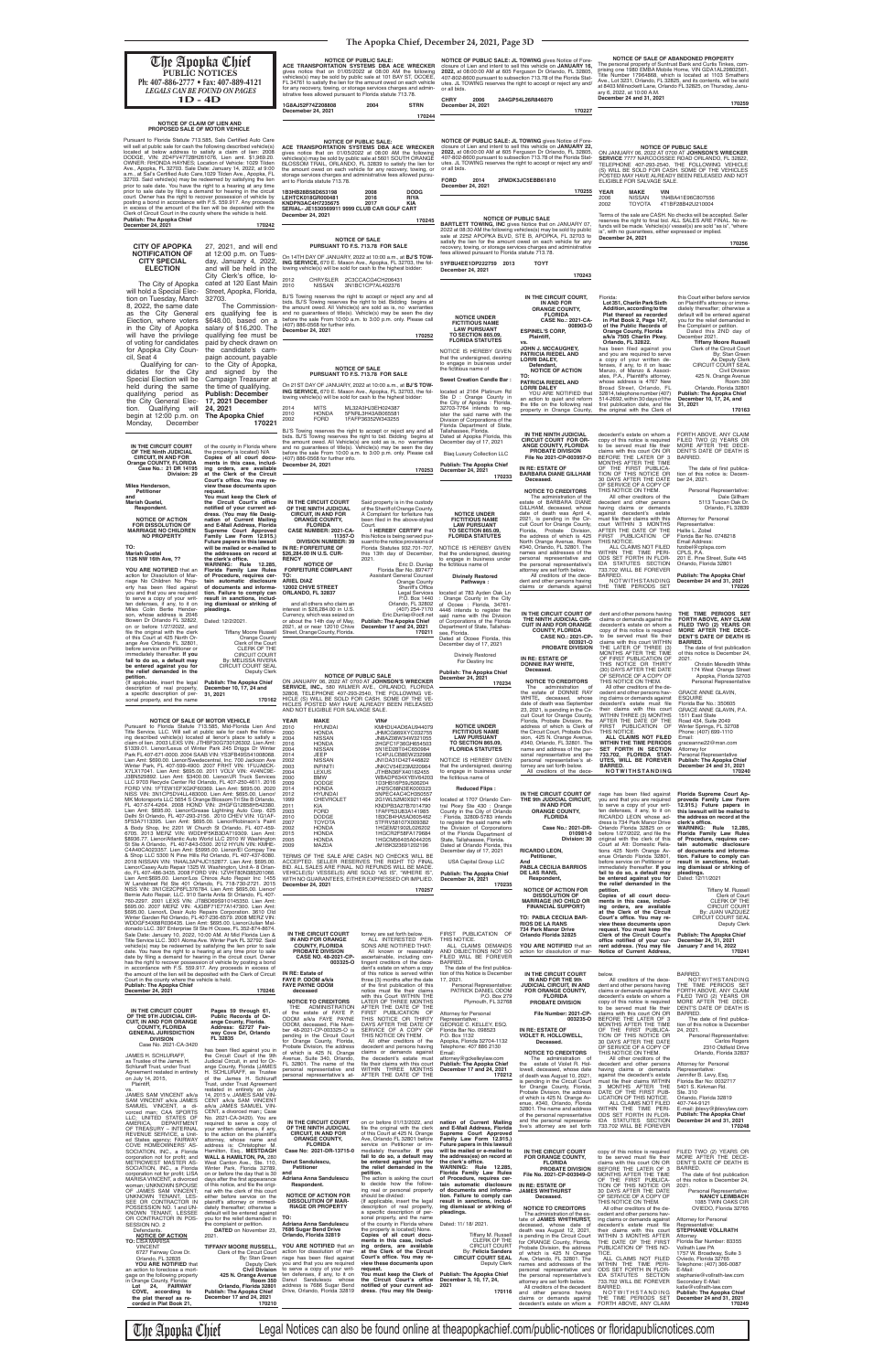The Apopka Chief Legal Notices can also be found online at theapopkachief.com/public-notices or floridapublicnotices.com

**The Apopka Chief, December 24, 2021, Page 3D**

**THE NINTH JUDICIAL CIR-CUIT IN AND FOR ORANGE COUNTY, FLORIDA**

**CASE NO.: 2021-CP-003921-O PROBATE DIVISION** 

torney are set forth below. All creditors of the dece-AFTER THE DATE OF THE FIRST PUBLICATION OF THIS NOTICE. **ALL CLAIMS NOT FILED WITHIN THE TIME PERIODS SET FORTH IN SECTION 733.702, FLORIDA STAT-UTES, WILL BE FOREVER BARRED. NOTWITHSTANDING** 

All other creditors of the de-cedent and other persons having claims or demands against<br>decedent's estate must file<br>their claims with this court<br>WITHIN THREE (3) MONTHS

**THE TIME PERIODS SET FORTH ABOVE, ANY CLAIM FILED TWO (2) YEARS OR MORE AFTER THE DECE-DENT'S DATE OF DEATH IS BARRED.**<br>The date of first publication

of this notice is December 24, 2021.

Christin Meredith White 174 West Orange Street Apopka, Florida 32703 Personal Representative

GRACE ANNE GLAVIN, **ESQUIRE** Florida Bar No.: 350605 GRACE ANNE GLAVIN, P.A. 1511 East State Road 434, Suite 2049 Winter Springs, FL 32708 Phone: (407) 699-1110 Email:

graceanne22@msn.com Attorney for Personal Representative **Publish: The Apopka Chief December 24 and 31, 2021 170240**

FORD VIN: 1FTEW1EFXGKF60369. Lien Amt: \$695.00. 2020 NISS VIN: 3N1CP5DV4LL483000. Lien Amt: \$695.00. Lienor/<br>MK Motorsports LLC 5654 S Orange Blossom Trl Ste B Orlando,<br>FL 407-574-4264. 2008 HOND VIN: 2HGFG12858H542380.<br>Lien Amt: \$695.00. Lienor/Grease Lightning Auto Corp. 6 5F53A7113395. Lien Amt: \$695.00. Lienor/Robinson's Paint & Body Shop, Inc 2201 W Church St Orlando, FL 407-459- 6705. 2013 MERZ VIN: WDDHF5KB3DA719309. Lien Amt: \$8936.77. Lienor/Atlantic Auto World LLC 2010 W Washington St Ste A Orlando, FL 407-843-0300. 2012 HYUN VIN: KMHE-C4A40CA023357. Lien Amt: \$5995.00. Lienor/El Compay Tire & Shop LLC 5300 N Pine Hills Rd Orlando, FL 407-437-6080. 2018 NISSAN VIN: 1N4AL3AP4JC152877. Lien Amt: \$695.00. Lienor/Casey Auto Repair 1325 W. Washington, Unit A- 8 Orlan-<br>do, FL 407-486-3435. 2008 FORD VIN: 1ZVHT80N385201066.<br>Lien Amt:\$695.00. Lienor/Los Chinos Auto Repair Inc 1455<br>W Landstreet Rd Ste 401 Orlando, FL 718-730-2721 NISS VIN: 3N1CE2CP6FL376784. Lien Amt: \$695,00. Lienor/ Bernie Auto Repair, LLC. 910 Santa Anita St Orlando, FL 407- 760-2297. 2001 LEXS VIN: JT8BD69S910145350. Lien Amt:<br>\$695.00. 2007 MERZ VIN: 4JGBF71E77A147300. Lien Amt:<br>\$695.00. Lienor/L Desir Auto Repairs Corporation. 3610 Old<br>Winter Garden Rd Orlando, FL 407-236-6579. 2008 MERZ VIN WDDGF54X68R036435. Lien Amt: \$695.00. Lienor/Julian Mal-donado LLC. 397 Enterprise St Ste H Ocoee, FL 352-874-8674. Sale Date: January 10, 2022, 10:00 AM. At Mid Florida Lien &<br>Title Service LLC. 3001 Aloma Ave. Winter Park FL 32792. Said<br>vehicle(s) may be redeemed by satisfying the lien prior to sale<br>date. You have the right to a heari date by filing a demand for hearing in the circuit court. Owner<br>has the right to recover possession of vehicle by posting a bond in accordance with F.S. 559.917. Any proceeds in excess of the amount of the lien will be deposited with the Clerk of Circuit Court in the county where the vehicle is held. **Publish: The Apopka Chief December 24, 2021** 170246

| <b>NOTICE OF PUBLIC SALE</b>                                     |
|------------------------------------------------------------------|
| <b>BARTLETT TOWING, INC</b> gives Notice that on JANUARY 07,     |
| 2022 at 08:30 AM the following vehicles(s) may be sold by public |
| sale at 2252 APOPKA BLVD, STE B, APOPKA, FL 32703 to             |
| satisfy the lien for the amount owed on each vehicle for any     |
| recovery, towing, or storage services charges and administrative |

**December 24, 2021**

**1G8AJ52F74Z208808 2004 STRN**

**Decemeber 24, 2021**

**170244**

**NOTICE OF PUBLIC SALE: ACE TRANSPORTATION SYSTEMS DBA ACE WRECKER**<br>gives notice that on 01/05/2022 at 08:00 AM the following<br>vehicles(s) may be sold by public sale at 5601 SOUTH ORANGE<br>BLOSSOM TRAIL, ORLANDO, FL 32839 to satisfy the lien for the amount owed on each vehicle for any recovery, towing, or storage services charges and administrative fees allowed pursuant to Florida statute 713.78.

| rcuit | 1B3HB28B58D653198                            | 2008 | <b>DODG</b> |
|-------|----------------------------------------------|------|-------------|
| e bv  | LEHTCK018GR000481                            | 2016 | <b>RIYA</b> |
| eeds  | KNDPN3AC4H7235675                            | 2017 | KIA         |
| ı the | SERIAL- JE1530569911 9999 CLUB CAR GOLF CART |      |             |
|       | December 24, 2021                            |      |             |
| 0.00  |                                              |      | 170245      |

NOTICE OF PUBLIC SALE: JL TOWING gives Notice of Fore-<br>closure of Lien and intent to sell this vehicle on JANUARY 16,<br>2022, at 08:00:00 AM at 605 Ferguson Dr Orlando, FL 32805,<br>407-802-8600 pursuant to subsection 713.78 of or all bids.

BJ'S Towing reserves the right to accept or reject any and all<br>bids. BJ'S Towing reserves the right to bid. Bidding begins at<br>the amount owed. All Vehicle(s) are sold as is, no warranties and no guarantees of title(s). Vehicle(s) may be seen the day before the sale From 10:00 a.m. to 3:00 p.m. only. Please call (407) 886-0568 for further info.

The personal property of Suntrust Bank and Curtis Tinkes, com-<br>prising one 1980 EMBA Mobile Home, VIN GDA1AL29802561,<br>Title Number 17964868, which is located at 1103 Smathers<br>Ave., Lot 3231, Orlando, FL 32825, and its cont at 8403 Millnockett Lane, Orlando FL 32825, on Thursday, Janu-ary 6, 2022, at 10:00 A.M. **December 24 and 31, 2021**

**YEAR MAKE VIN**<br>2006 NISSAN 1N4BA41E96C807556<br>2002 TOYOTA 4T1BF28B42U210004 2002 TOYOTA 4T1BF28B42U210004

**IN THE CIRCUIT COURT OF**  dent and other persons having claims or demands against the decedent's estate on whom a copy of this notice is required<br>to be served must file their<br>claims with this court WITHIN<br>THE LATER OF THREE (3) MONTHS AFTER THE TIME OF FIRST PUBLICATION OF THIS NOTICE OR THIRTY (30) DAYS AFTER THE DATE OF SERVICE OF A COPY OF THIS NOTICE ON THEM. dent and other persons having claims or demands against NOTWITHSTANDING THE TIME PERIODS SET

**NOTICE UNDER FICTITIOUS NAME LAW PURSUANT TO SECTION 865.09, FLORIDA STATUTES** NOTICE IS HEREBY GIVEN that the undersigned, desiring<br>to engage in business under<br>the fictitious name of

recovery, towing, or storage services charges and administrative fees allowed pursuant to Florida statute 713.78. **5YFBU4EE1DP222759 2013 TOYT** is", with no guarantees, either expressed or implied. **December 24, 2021**

**IN RE: ESTATE OF DONNIE RAY WHITE, Deceased. Publish: The Apopka Chief December 24, 2021**

**NOTICE TO CREDITORS** The administration of the estate of DONNIE RAY WHITE, deceased, whose<br>date of death was September<br>23, 2021, is pending in the Cir-<br>cuit Court for Orange County, Florida, Probate Division, the address of which is Clerk of the Circuit Court, Probate Divi-sion, 425 N. Orange Avenue, #340, Orlando, FL 32801. The name and address of the personal representative and the personal representative's at-**170234 FICTITIOUS NAME LAW PURSUANT TO SECTION 865.09, FLORIDA STATUTES** NOTICE IS HEREBY GIVEN

| 170243                                                                                                                                                                                                                                                                                                                                                                                                                                                                                  |                                                                                                                                                                                                                                                                                                                                                                                                                                                                                                                                                                                                                                                    |                                                                                                                                                                                                                                                                                                                                                                                                                                                                                                                                                             |
|-----------------------------------------------------------------------------------------------------------------------------------------------------------------------------------------------------------------------------------------------------------------------------------------------------------------------------------------------------------------------------------------------------------------------------------------------------------------------------------------|----------------------------------------------------------------------------------------------------------------------------------------------------------------------------------------------------------------------------------------------------------------------------------------------------------------------------------------------------------------------------------------------------------------------------------------------------------------------------------------------------------------------------------------------------------------------------------------------------------------------------------------------------|-------------------------------------------------------------------------------------------------------------------------------------------------------------------------------------------------------------------------------------------------------------------------------------------------------------------------------------------------------------------------------------------------------------------------------------------------------------------------------------------------------------------------------------------------------------|
| IN THE CIRCUIT COURT,<br>IN AND FOR<br><b>ORANGE COUNTY.</b><br><b>FLORIDA</b><br><b>CASE No.: 2021-CA-</b><br>008903-0<br><b>ESPINEL'S CORP.</b><br>Plaintiff,<br>VS.<br><b>JOHN J. MCCAUGHEY,</b><br><b>PATRICIA RIEDEL AND</b><br><b>LORRI DALEY,</b><br>Defendant,<br><b>NOTICE OF ACTION</b><br>TO:<br><b>PATRICIA RIEDEL AND</b><br><b>LORRI DALEY</b><br>YOU ARE NOTIFIED that<br>an action to quiet and reform<br>the title on the following real<br>property in Orange County, | Florida:<br>Lot 351, Charlin Park Sixth<br>Addition, according to the<br>Plat thereof as recorded<br>in Plat Book 2, Page 147,<br>of the Public Records of<br><b>Orange County, Florida</b><br>a/k/a 7505 Charlin Pkwy.<br>Orlando, FL 32822.<br>has been filed against you<br>and you are required to serve<br>a copy of your written de-<br>fenses, if any, to it on Isaac<br>Manzo, of Manzo & Associ-<br>ates, P.A., Plaintiff's attorney,<br>whose address is 4767 New<br>Broad Street, Orlando, FL<br>32814, telephone number (407)<br>514-2692, within 30 days of the<br>first publication date, and file<br>the original with the Clerk of | this Court either before service<br>on Plaintiff's attorney or imme-<br>diately thereafter; otherwise a<br>default will be entered against<br>you for the relief demanded in<br>the Complaint or petition.<br>Dated this 2ND day of<br>December 2021.<br><b>Tiffany Moore Russell</b><br>Clerk of the Circuit Court<br>By: Stan Green<br>As Deputy Clerk<br><b>CIRCUIT COURT SEAL</b><br>Civil Division<br>425 N. Orange Avenue<br>Room 350<br>Orlando, Florida 32801<br><b>Publish: The Apopka Chief</b><br>December 10, 17, 24, and<br>31, 2021<br>170163 |
| IN THE NINTH JUDICIAL<br><b>CIRCUIT COURT FOR OR-</b><br><b>ANGE COUNTY, FLORIDA</b><br><b>PROBATE DIVISION</b><br>File No 2021-CP-003957-O<br>IN RE: ESTATE OF<br><b>BARBARA DIANE GILLHAM</b><br>Deceased.                                                                                                                                                                                                                                                                            | decedent's estate on whom a<br>copy of this notice is required<br>to be served must file their<br>claims with this court ON OR<br>BEFORE THE LATER OF 3<br>MONTHS AFTER THE TIME<br>OF THE FIRST PUBLICA-<br>TION OF THIS NOTICE OR<br>30 DAYS AFTER THE DATE<br>OF SERVICE OF A COPY OF                                                                                                                                                                                                                                                                                                                                                           | FORTH ABOVE, ANY CLAIM<br>FILED TWO (2) YEARS OR<br>MORE AFTER THE DECE-<br>DENT'S DATE OF DEATH IS<br>BARRED.<br>The date of first publica-<br>tion of this notice is: Decem-<br>ber 24, 2021.                                                                                                                                                                                                                                                                                                                                                             |

**YEAR MAKE**<br>2006 NISSAN

**170249**

**FORD 2014 2FMDK3JC5EBB61810 December 24, 2021 170255**

#### **CHRY 2006 2A4GP54L26R846070 December 24, 2021**

**170227**

#### **NOTICE OF SALE PURSUANT TO F.S. 713.78 FOR SALE**

at 12:00 p.m. on Tues- on 14TH DAY OF JANUARY, 2022 at 10:00 a.m., at **BJ'S TOW**day, January 4, 2022, **ING SERVICE**, 670 E. Mason Ave., Apopka, FL 32703, the fol-<br>and will be held in the lowing vehicle(s) will be sold for cash to the highest bidder:

2012 CHRYSLER 2C3CCACG4CH206431 2010 NISSAN 3N1BC1CP7AL402376

BJ'S Towing reserves the right to accept or reject any and all<br>bids. BJ'S Towing reserves the right to bid. Bidding begins at<br>the amount owed. All Vehicle(s) are sold as is, no warranties<br>and no guarantees of title(s). Veh

**170252**

# **NOTICE OF SALE PURSUANT TO F.S. 713.78 FOR SALE**

On 21ST DAY OF JANUARY, 2022 at 10:00 a.m., at **BJ'S TOW-ING SERVICE,** 670 E. Mason Ave., Apopka, FL 32703, the fol-lowing vehicle(s) will be sold for cash to the highest bidder:

| 2014 | MITS         | ML32A3HJ3EH024387 |
|------|--------------|-------------------|
| 2010 | <b>HONDA</b> | 5FNRL3H43AB065581 |
| 2002 | <b>FORD</b>  | 1FAFP36352W343255 |

**NOTICE OF SALE OF ABANDONED PROPERTY**

**170259**

POSTED MAY HAVE ALREADY BEEN RELEASED AND NOT ELIGIBLE FOR SALVAGE SALE.

Terms of the sale are CASH. No checks will be accepted. Seller<br>reserves the right to final bid. ALL SALES ARE FINAL. No re-<br>funds will be made. Vehicle(s)/ vessel(s) are sold "as is", "where

**IN THE CIRCUIT COURT OF THE 9th JUDICIAL CIRCUIT, IN AND FOR ORANGE COUNTY, FLORIDA Case No.: 2021-DR-010981-0 Division: 30 RICARDO LEON, Petitioner, And PABLA CECILIA BARRIOS DE LAS RANS, Respondent, NOTICE OF ACTION FOR DISSOLUTION OF MARRIAGE (NO CHILD OR FINANCIAL SUPPORT) TO: PABLA CECILIA BAR-RIOS DE LA RANS 734 Park Manor Drive Orlando Florida 32825 YOU ARE NOTIFIED** that an action for dissolution of marriage has been filed against<br>you and that you are required<br>to serve a copy of your written defenses, if any, to it on RICARDO LEON whose address is 734 Park Manor Drive Orlando Florida 32825 on or<br>before 1/27/2022, and file the<br>original with the clerk of this Court at Att: Domestic Rela-tions 425 North Orange Avenue Orlando Florida 32801, before service on Petitioner or immediately thereafter. **If you fail to do so, a default may be entered against you for the relief demanded in the**  petition.<br> **Copies of all court docu-**<br> **ments in this case, includ-**<br> **ing orders, are available**<br> **at the Clerk of the Circuit<br>
Court's office. You may review these documents upon request. You must keep the**  Clerk of the Circuit Court's<br>office notified of your cur-<br>rent address. (You may file<br>Notice of Current Address, **Florida Supreme Court Ap-proveda Family Law Form 12.915.) Future papers in this lawsuit will be mailed to the address on record at the**  clerk's office. **WARNING: Rule 12.285, Florida Family Law Rules of Procedure, requires certain automatic disclosure of documents and information. Failure to comply can result in sanctions, includ-ing dismissal or striking of pleadings.** Dated: 12/11/2021 Tiffany M. Russell Clerk of Court CLERK OF THE CIRCUIT COURT By: JUAN VAZQUEZ CIRCUIT COURT SEAL Deputy Clerk **Publish: The Apopka Chief December 24, 31, 2021 January 7 and 14, 2022 170241 IN THE CIRCUIT COURT IN AND FOR THE 9th JUDICIAL CIRCUIT, IN AND FOR ORANGE COUNTY, FLORIDA PROBATE DIVISION File Number: 2021-CP-003235-O IN RE: ESTATE OF VIOLET R. HOLLOWELL, Deceased. NOTICE TO CREDITORS** The administration of the estate of Violet R. Hollowell, deceased, whose date of death was August 10, 2021, is pending in the Circuit Court for Orange County, Florida,<br>Probate Division, the address<br>of which is 425 N. Orange Av-<br>enue, #340, Orlando, Florida<br>32801. The name and address<br>of the personal representative and the personal representative's attorney are set forth below. All creditors of the decedent and other persons having claims or demands against the decedent's estate on whom a copy of this notice is required<br>to be served must file their<br>claims with this court ON OR<br>BEFORE THE LATER OF 3 MONTHS AFTER THE TIME OF THE FIRST PUBLICA-TION OF THIS NOTICE OR 30 DAYS AFTER THE DATE OF SERVICE OF A COPY OF THIS NOTICE ON THEM. All other creditors of the decedent and other persons having claims or demands<br>against the decedent's estate<br>must file their claims WITHIN<br>3 MONTHS AFTER THE<br>DATE OF THE FIRST PUB-<br>LICATION OF THIS NOTICE. ALL CLAIMS NOT FILED WITHIN THE TIME PERI-ODS SET FORTH IN FLOR-IDA STATUTES SECTION 733.702 WILL BE FOREVER BARRED. NOTWITHSTANDING THE TIME PERIODS SET FORTH ABOVE, ANY CLAIM<br>FILED TWO (2) YEARS OR<br>MORE AFTER THE DECE-<br>DENT'S DATE OF DEATH IS<br>BARRED. The date of first publication of this notice is December 24, 2021. Personal Representative: Carlos Rogers<br>2310 Oldfield Drive Orlando, Florida 32837 Attorney for Personal Representative: Jennifer B. Levy, Esq. Florida Bar No: 0032717 5401 S. Kirkman Rd. Ste. 310 Orlando, Florida 32819 ואו הדי ובו<br>E-mail: iblevv@iblevvlaw.com E-mail: jblevy@jblevylaw.com **Publish: The Apopka Chief December 24 and 31, 2021 170248 IN THE CIRCUIT COURT FOR ORANGE COUNTY, FLORIDA PROBATE DIVISION File No. 2021-CP-003949-O IN RE: ESTATE OF JAMES WHITHURST Deceased. NOTICE TO CREDITORS** The administration of the es-tate of **JAMES WHITHURST,**  deceased, whose date of death was August 12, 2021, is pending in the Circuit Court for ORANGE County, Florida, Probate Division, the address of which is 425 N Orange Ave, Orlando, FL 32801. The names and addresses of the personal representative and the personal representative's attorney are set forth below. All creditors of the decedent and other persons having claims or demands against decedent's estate on whom a copy of this notice is required to be served must file their<br>claims with this court ON OR<br>BEFORE THE LATER OF 3 MONTHS AFTER THE TIME OF THE FIRST PUBLICA-TION OF THIS NOTICE OR 30 DAYS AFTER THE DATE OF SERVICE OF A COPY OF THIS NOTICE ON THEM. All other creditors of the decedent and other persons having claims or demands against decedent's estate must file their claims with this court WITHIN 3 MONTHS AFTER THE DATE OF THE FIRST PUBLICATION OF THIS NO-TICE. ALL CLAIMS NOT FILED WITHIN THE TIME PERI-ODS SET FORTH IN FLOR-IDA STATUTES SECTION 733.702 WILL BE FOREVER BARRED.<br>NOTWITH STANDING THE TIME PERIODS SET FORTH ABOVE, ANY CLAIM FILED TWO (2) YEARS OR MORE AFTER THE DECE DENT'S DATE OF DEATH IS **BARRED** The date of first publication of this notice is December 24, 2021. ..<br>Personal Representative **NANCY LEIMBACH** 1085 TWIN OAKS CIR OVIEDO, Florida 32765 Attorney for Personal **Representative STEPHANIE VOLLRATH** Attorney Florida Bar Number: 83355 Vollrath Law PA 1757 W. Broadway, Suite 3 Oviedo, Florida 32765 Telephone: (407) 366-0087 E-Mail: stephanie@vollrath-law.com Secondary E-Mail: katie@vollrath-law.com **Publish: The Apopka Chief December 24 and 31, 2021** the fictitious name of **Reduced Flips :** located at 1707 Orlando Cen-tral Pkwy Ste 430 : Orange County in the City of Orlando : Florida, 32809-5783 intends to register the said name with the Division of Corporations of the Florida Department of State, Tallahassee, Florida. Dated at Orlando Florida, this December day of 17, 2021 USA Capital Group LLC **Publish: The Apopka Chief December 24, 2021 170235 IN THE CIRCUIT COURT IN AND FOR ORANGE COUNTY, FLORIDA PROBATE DIVISION CASE NO. 48-2021-CP-003325-O IN RE: Estate of FAYE P. ODOM a/k/a FAYE PAYNE ODOM deceased NOTICE TO CREDITORS**<br>
THE ADMINISTRATION<br>
od the estate of FAYE P.<br>
ODOM a/k/a FAYE PAYNE<br>
ODOM, deceased, File Num-<br>
ber 48-2021-CP-003325-O is pending in the Circuit Court for Orange County, Florida, Probate Division, the address of which is 425 N. Orange Avenue, Suite 340, Orlando, FL 32801. The name of the rsonal representative and personal representative's attorney are set forth below.<br>ALL INTERESTED PER-ALL INTERESTED PER-SONS ARE NOTIFIED THAT: All known or reasonably ascertainable, including contingent creditors of the dece-dent's estate on whom a copy of this notice is served within<br>three (3) months after the date<br>of the first publication of this<br>notice must file their claims with this Court WITHIN THE LATER OF THREE MONTHS AFTER THE DATE OF THE FIRST PUBLICATION OF THIS NOTICE OR THIRTY DAYS AFTER THE DATE OF SERVICE OF A COPY OF THIS NOTICE ON THEM. All other creditors of the decedent and persons having claims or demands against the decedent's estate must file their claims with this court<br>WITHIN THREE MONTHS AFTER THE DATE OF THE FIRST PUBLICATION OF THIS NOTICE. ALL CLAIMS DEMANDS AND OBJECTIONS NOT SO FILED WILL BE FOREVER BARRED. The date of the first publication of this Notice is December 17, 2021. Personal Representative: PATRICK DANIEL ODOM P.O. Box 279 Plymouth, FL 32768 Attorney for Personal Representative: GEORGE C. KELLEY, ESQ. Florida Bar No. 098523 P.O. Box 1132 Apopka, Florida 32704-1132 Telephone: 407 886 2130 Email: attorney@gckelleylaw.com<br>Publish: The Apopka Chief **Publish: The Apopka Chief December 17 and 24, 2021 170212 IN THE CIRCUIT COURT OF THE NINTH JUDICIAL CIRCUIT, IN AND FOR ORANGE COUNTY, FLORIDA Case No: 2021-DR-13715-0 Danut Sandulescu, Petitioner and Adriana Anna Sandulescu Respondent. NOTICE OF ACTION FOR DISSOLUTION OF MAR-RIAGE OR PROPERTY TO: Adriana Anna Sandulescu 7686 Sugar Bend Drive Orlando, Florida 32819 DATED** on November 23, **YOU ARE NOTIFIED** that an action for dissolution of mar-<br>riage has been filed against you and that you are required to serve a copy of your writ-ten defenses, if any, to it on Danut Sandulescu whose address is 7686 Sugar Bend Drive, Orlando, Florida 32819 on or before 01/13/2022, and file the original with the clerk<br>of this Court at 425 N. Orange Ave, Orlando FL 32801 before service on Petitioner or im-mediately thereafter. **If you fail to do so, a default may be entered against you for the relief demanded in the petition.** The action is asking the court to decide how the follow-ing real or personal property should be divided: {If applicable, insert the legal description of real property,<br>a specific description of personal property, and the name of the county in Florida where the property is located} None. **Copies of all court documents in this case, including orders, are available at the Clerk of the Circuit**  at the Clerk of the Circui<br>Court's office. You may re**view these documents upon request.** You must keep the Clerk of<br>the Circuit Court's office<br>notified of your current ad-<br>dress. (You may file Desig**nation of Current Mailing and E-Mail Address, Florida Supreme Court Approved Family Law Form 12.915.) Future papers in this lawsuit will be mailed or e-mailed to the address(es) on record at**  the clerk's office.<br>WARNING: Rule 12.285, **Florida Family Law Rules of Procedure, requires cer-tain automatic disclosure of documents and information. Failure to comply can result in sanctions, including dismissal or striking of pleadings.** Dated: 11/ 18/ 2021. Tiffany M. Russell CLERK OF THE CIRCUIT COURT By: **Felicia Sanders CIRCUIT COURT SEAL** Deputy Clerk **Publish: The Apopka Chief December 3, 10, 17, 24, 2021 170116** Clerk of the Circuit Court By: Stan Green Deputy Clerk **Civil Division 425 N. Orange Avenue Room 350 Orlando, Florida 32801 Publish: The Apopka Chief December 17 and 24, 2021** 2004 LEXUS JTHBN36FX40162455 2000 BMW WBADP634XYBV64203 2009 DODGE 1D3HB16P59J506204 2014 HONDA JH2SC68N3EK000323 2012 HYUNDAI 5NPEC4AC4CH350557 1999 CHEVROLET 2G1WL52M0X9211464 2011 KIA KNDPB3A27B7014790 2003 FORD 1FAFP53U83A141985 2010 DODGE 1B3CB4HA5AD605462<br>2007 TOYOTA 5TFRV58107X009382 2007 TOYOTA 5TFRV58107X009382 2002 HONDA 1HGEM21902L026202 2015 HONDA 1HGCR2F58FA179684 2005 HONDA 1HGCM56405A044205 2009 MAZDA JM1BK323691202196 TERMS OF THE SALE ARE CASH. NO CHECKS WILL BE ACCEPTED. SELLER RESERVES THE RIGHT TO FINAL<br>BID. ALL SALES ARE FINAL. NO REFUNDS WILL BE MADE.<br>VEHICLE(S)/ VESSEL(S) ARE SOLD "AS IS", "WHERE IS",<br>WITH NO GUARANTEES, EITHER EXPRESSED OR IMPLIED. **December 24, 2021 170257**

 **170256**

NOTICE OF PUBLIC SALE<br>SERVICE, INC., 2022 AT O700 AT JOHNSON'S WRECKER<br>SERVICE, INC., 580 WILMER AVE., ORLANDO, FLORIDA<br>22808, TELEPHONE 407-293-2540, THE FOLLOWING VE-<br>HICLE (S) WILL BE SOLD FOR CASH. SOME OF THE VE-<br>HICL **170162**

All creditors of the dece-

#### **NOTICE TO CREDITORS** The administration of the estate of BARBARA DIANE GILLHAM, deceased, whose date of death was April 4, 2021, is pending in the Cir-cuit Court for Orange County, Florida, Probate Division, the address of which is 425 North Orange Avenue, Room #340, Orlando, FL 32801. The names and addresses of the personal representative and the personal representative's attorney are set forth below. THIS NOTICE ON THEM. All other creditors of the decedent and other persons having claims or demands<br>against decedent's estate<br>must file their claims with this<br>court WITHIN 3 MONTHS<br>AFTER THE DATE OF THE<br>FIRST PUBLICATION OF<br>THIS NOTICE. ALL CLAIMS NOT FILED WITHIN THE TIME PERI-ODS SET FORTH IN FLOR-IDA STATUTES SECTION 733.702 WILL BE FOREVER

Pursuant to Florida Statute 713.585, Sals Certified Auto Care will sell at public sale for cash the following described vehicle(s) located at below address to satisfy a claim of lien: 2008 DODGE, VIN: 2D4FV47T28H261076, Lien amt. \$1,969.20. OWNER: RHONDA HAYNES; Location of Vehicle: 1029 Tilden<br>Ave., Apopka, FL 32703. Sale Date: January 14, 2022, at 9:00<br>a.m., at Sal's Certified Auto Care,1029 Tilden Ave., Apopka, FL 32703. Said vehicle(s) may be redeemed by satisfying the lien prior to sale date. You have the right to a hearing at any time<br>prior to sale date by filing a demand for hearing in the circuit.<br>Count. Owner has the right to recover possession of vehicle by<br>posting a bond in accordance Clerk of Circuit Court in the county where the vehicle is held **Publish: The Apopka Chief December 24, 2021 170242**

BARRED.

Personal Representative: Dale Gillham 5113 Tuscan Oak Dr. Orlando, FL 32839

Attorney for Personal Representative: Hallie L. Zobel Florida Bar No. 0748218 Email Address: hzobel@cplspa.com<br>CPLS\_P A CPLS, P.A. 201 E. Pine Street, Suite 445 Orlando, Florida 32801

**Publish: The Apopka Chief December 24 and 31, 2021**

**170226**

**NOTICE UNDER FICTITIOUS NAME LAW PURSUANT TO SECTION 865.09, FLORIDA STATUTES** NOTICE IS HEREBY GIVEN that the undersigned, desiring<br>to engage in business under<br>the fictitious name of **Sweet Creation Candle Bar :** located at 2164 Platinum Rd Ste D : Orange County in the City of Apopka : Florida, 32703-7764 intends to register the said name with the Division of Corporations of the Florida Department of State, Tallahassee, Florida. Dated at Apopka Florida, this December day of 17, 2021 Blaq Luxury Collection LLC **Publish: The Apopka Chief December 24, 2021**

**170233**

**Divinely Restored Pathways :** located at 783 Ayden Oak Ln

: Orange County in the City of Ocoee : Florida, 34761- 4446 intends to register the said name with the Division of Corporations of the Florida

Department of State, Tallahas-see, Florida. Dated at Ocoee Florida, this December day of 17, 202 Divinely Restored For Destiny Inc

**NOTICE UNDER** 

that the undersigned, desiring to engage in business under

**December 24, 2021 170253** of the county in Florida where **170221**

**IN THE CIRCUIT COURT OF THE 9TH JUDICIAL CIR-CUIT, IN AND FOR ORANGE COUNTY, FLORIDA GENERAL JURISDICTION DIVISION** Case No. 2021-CA-3420 JAMES H. SCHLURAFF, as Trustee of the James H. Schluraff Trust, under Trust<br>Agreement restated in entirety on July 14, 2015, **Plaintiff JAMES SAM VINCENT a/k/a** JAMES SAM VINCENT a/k/a<br>SAM VINCENT a/k/a JAMES<br>SAMUEL VINCENT, a di-<br>vorced man; CAA SPORTS<br>LLC; UNITED STATES OF<br>AMERICA, DEPARTMENT LLC; UNITED STATES OF<br>AMERICA, DEPARTMENT<br>OF TREASURY – INTERNAL REVENUE SERVICE, a Unit-ed States agency; FAIRWAY COVE HOMEOWNERS' AS-SOCIATION, INC., a Florida<br>corporation not for profit; and METROWEST MASTER AS-SOCIATION, INC., a Florida<br>corporation not for profit; LISA<br>MARISA VINCENT, a divorced woman; UNKNOWN SPOUSE OF JAMES SAM VINCENT; UNKNOWN TENANT, LES-SEE OR CONTRACTOR IN POSSESSION NO. 1 and UN-KNOWN TENANT, LESSEE **KNOWN TENANT, LESSEE<br>OR CONTRACTOR IN POS-**SESSION NO. 2 Defendants. **NOTICE OF ACTION TO:** LISA MARISA VINCENT 6727 Fairway Cove Dr. Orlando, FL 32835 **YOU ARE NOTIFIED** that an action to foreclose a mort-gage on the following property in Orange County, Florida: **Lot 24, FAIRWAY COVE, according to the plat thereof as re-Pages 59 through 61, Public Records of Or-ange County, Florida. Address: 62727 Fairway Cove Drl, Orlando FL 32835** has been filed against you in<br>the Circuit Court of the 9th Judicial Circuit, in and for Orange County, Florida (JAMES H. SCHLURAFF, as Trustee of the James H. Schluraff Trust, under Trust Agreement restated in entirety on July 14, 2015 v. JAMES SAM VIN-CENT a/k/a SAM VINCENT<br>a/k/a JAMES SAMUEL VIN-<br>CENT, a divorced man;; Case<br>No. 2021-CA-3420). You are required to serve a copy of your written defenses, if any, to the action on the plaintiff's attorney, whose name and address is: Christopher M. Hamilton, Esq., **MESTDAGH WALL & HAMILTON, PA,** 280 West Canton Ave., Ste. 110, Winter Park, Florida 32789, on or before the day that is 30<br>days after the first appearance<br>of this notice, and file the original with the clerk of this court either before service on the plainiff's attorney or immedi-dately thereafter; otherwise a default will be entered against you for the relief demanded in the complaint or petition. 2021. **TIFFANY MOORE RUSSELL,**

**corded in Plat Book 21,** 

**170210**

| YEAR | <b>MAKE</b>     | VIN#              |
|------|-----------------|-------------------|
| 2010 | <b>HYUNDAI</b>  | KMHDU4AD6AU944079 |
| 2000 | <b>HONDA</b>    | JHMCG669XYC032755 |
| 2004 | <b>NISSAN</b>   | JN8AZ08W34W321055 |
| 2016 | <b>HONDA</b>    | 2HGFC1F36GH654503 |
| 2004 | <b>NISSAN</b>   | 5N1ED28T04C650984 |
| 2014 | JEEP            | 1C4PJLCB8EW232988 |
| 2002 | <b>NISSAN</b>   | JN1DA31D42T446822 |
| 2003 | <b>INFINITI</b> | JNKCV54E23M220964 |
| 2004 | LEXUS           | JTHBN36FX40162455 |

NOTICE OF PUBLIC SALE: JL TOWING gives Notice of Fore-<br>closure of Lien and intent to sell this vehicle on JANUARY 22,<br>2022, at 08:00:00 AM at 605 Ferguson Dr Orlando, FL 32805,<br>407-802-8600 pursuant to subsection 713.78 of NOTICE OF PUBLIC SALE<br>SERVICE 7777 06, 2022 AT 0700 AT JOHNSON'S WRECKER<br>SERVICE 7777 NARCOOSSEE ROAD ORLANDO, FL 32822,<br>TELEPHONE 407-293-2540, THE FOLLOWING VEHICLE<br>(S) WILL BE SOLD FOR CASH. SOME OF THE VEHICLES

#### **IN THE CIRCUIT COURT OF THE NINTH JUDICIAL CIRCUIT, IN AND FOR ORANGE COUNTY, FLORIDA CASE NUMBER: 2021-CA-11357-O DIVISION NUMBER: 39** Said property is in the custody of the Sheriff of Orange County. A Complaint for forfeiture has been fi led in the above-styled Court. **I HEREBY CERTIFY** that

**IN RE: FORFEITURE OF \$26,284.00 IN U.S. CUR-RENCY NOTICE OF FORFEITURE COMPLAINT TO: ARIEL DIAZ 12002 CHIVE STREET ORLANDO, FL 32837** and all others who claim an interest in \$26,284.00 in U.S. Currency, which was seized on or about the 14th day of May, this Notice is being served pur-suant to the notice provisions of Florida Statutes 932.701-707, this 13th day of December, 2021. Eric D. Dunlap<br>Florida Bar No. 897477 Florida Bar No. 897477<br>Assistant General Counsel<br>Orange County<br>Sheriff's Office<br>Legal Services<br>P.O. Box 1440 (407) 254-7170 Eric.Dunlap@ocfl .net

Orlando, FL 32802

# 2021, at or near 12010 Chive Street, Orange County, Florida. **Publish: The Apopka Chief December 17 and 24, 2021 170211** Tiffany Moore Russell Orange County<br>Clerk of the Court<br>CLERK OF THE<br>CIRCUIT COURT<br>By: MELISSA RIVERA<br>CIRCUIT COURT SEAL Deputy Clerk

**IN THE CIRCUIT COURT OF THE Ninth JUDICIAL CIRCUIT, IN AND FOR Orange COUNTY, FLORIDA Case No.: 21 DR 14195 Division: 29 Miles Henderson, Petitioner and Mariah Quetel, Respondent. NOTICE OF ACTION FOR DISSOLUTION OF MARRIAGE NO CHILDREN NO PROPERTY TO: Mariah Quetel 1126 NW 16th Ave, ?? YOU ARE NOTIFIED** that an action for Dissolution of Mar-<br>riage No Children No Prop-<br>erty has been filed against<br>you and that you are required to serve a copy of your written defenses, if any, to it on Miles Colin Bertie Henderson, whose address is 2046 Bowen Dr Orlando FL 32822, on or before 1/27/2022, and file the original with the clerk of this Court at 425 North Orange Ave Orlando FL 32801, before service on Petitioner or immediately thereafter. **If you fail to do so, a default may be entered against you for the relief demanded in the**  the property is located} N/A **Copies of all court docu-ments in this case, including orders, are available at the Clerk of the Circuit**  Court's office. You may re-<br>view these documents upon **request. You must keep the Clerk of**  the Circuit Court's office<br>notified of your current ad-<br>dress. (You may file Designation of Current Mailing<br>and E-Mail Address, Florida<br>Supreme Court Approved<br>Family Law Form 12.915.)<br>Future papers in this lawsuit<br>will be the clerk's office.<br>
WARNING: Rule 12.285,<br>
Florida Family Law Rules<br>
of Procedure, requires cer-<br>
tain automatic disclosure<br>
of documents and informa**tion. Failure to comply can result in sanctions, including dismissal or striking of pleadings.** Dated: 12/2/2021.

**petition.** {If applicable, insert the legal description of real property,<br>a specific description of personal property, and the name **Publish: The Apopka Chief December 10, 17, 24 and 31, 2021**

**NOTICE OF SALE OF MOTOR VEHICLE**<br>Pursuant to Florida Statute 713.585, Mid-Florida Lien And<br>Title Service, LLC. Will sell at public sale for cash the follow-<br>ing described vehicle(s) located at lienor's place to satisfy a<br> Park FL 407-671-0000. 2004 SAAB VIN: YS3FB49S541008068. Lien Amt: \$690.00. Lienor/Swedecentral, Inc. 700 Jackson Ave Winter Park, FL 407-599-4900. 2007 FRHT VIN: 1FUJA6CK-<br>X7LX17041. Lien Amt: \$695.00. 2011 VOLV VIN: 4V4NC9E-<br>J3BN529892. Lien Amt: \$3400.00. Lienor/JR Truck Services<br>LLC 9703 Recycle Center Rd Orlando, FL 407-250-4611. 201

#### **NOTICE OF CLAIM OF LIEN AND PROPOSED SALE OF MOTOR VEHICLE**

**CITY OF APOPKA NOTIFICATION OF CITY SPECIAL ELECTION** The City of Apopka will hold a Special Election on Tuesday, March 8, 2022, the same date as the City General Election, where voters in the City of Apopka will have the privilege of voting for candidates for Apopka City Council, Seat 4 Qualifying for candidates for the City and signed by the Special Election will be held during the same qualifying period as the City General Election. Qualifying will begin at 12:00 p.m. on **The Apopka Chief** Monday, December 27, 2021, and will end and will be held in the City Clerk's office, lo-City Clerk's Unice, 10- $\frac{2012}{2010}$ Street, Apopka, Florida, 32703. The Commissioners qualifying fee is \$648.00, based on a salary of \$16,200. The qualifying fee must be paid by check drawn on the candidate's campaign account, payable to the City of Apopka, Campaign Treasurer at the time of qualifying. **Publish: December 17, 2021 December 24, 2021**

**PUBLIC NOTICES** The Apopka Chief **Ph: 407-886-2777 • Fax: 407-889-4121** *LEGALS CAN BE FOUND ON PAGES* **1D - 4D** 

**ACE TRANSPORTATION SYSTEMS ACE:**<br> **ACE TRANSPORTATION SYSTEMS DBA ACE WRECKER**<br>
gives notice that on 01/05/2022 at 08:00 AM the following<br>
vehicles(s) may be sold by public sale at 101 BAY ST, OCOEE,<br>
FL 34761 to satisfy